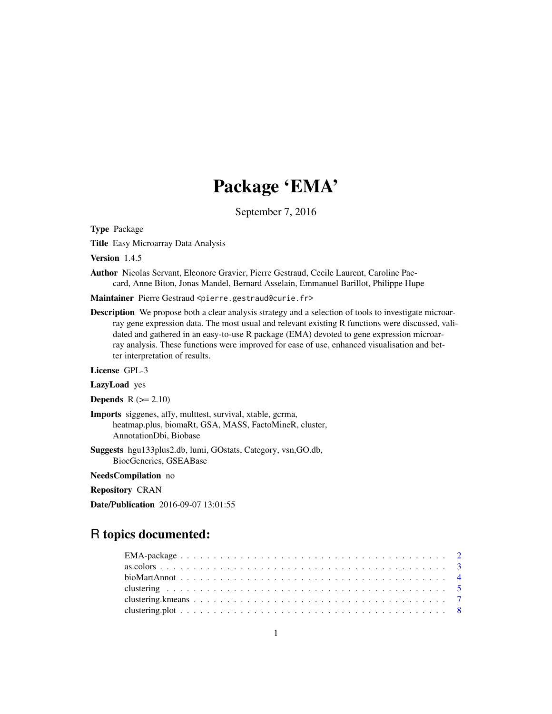# Package 'EMA'

September 7, 2016

<span id="page-0-0"></span>Type Package

Title Easy Microarray Data Analysis

Version 1.4.5

Author Nicolas Servant, Eleonore Gravier, Pierre Gestraud, Cecile Laurent, Caroline Paccard, Anne Biton, Jonas Mandel, Bernard Asselain, Emmanuel Barillot, Philippe Hupe

Maintainer Pierre Gestraud <pierre.gestraud@curie.fr>

Description We propose both a clear analysis strategy and a selection of tools to investigate microarray gene expression data. The most usual and relevant existing R functions were discussed, validated and gathered in an easy-to-use R package (EMA) devoted to gene expression microarray analysis. These functions were improved for ease of use, enhanced visualisation and better interpretation of results.

License GPL-3

LazyLoad yes

**Depends**  $R$  ( $>= 2.10$ )

- Imports siggenes, affy, multtest, survival, xtable, gcrma, heatmap.plus, biomaRt, GSA, MASS, FactoMineR, cluster, AnnotationDbi, Biobase
- Suggests hgu133plus2.db, lumi, GOstats, Category, vsn,GO.db, BiocGenerics, GSEABase

NeedsCompilation no

Repository CRAN

Date/Publication 2016-09-07 13:01:55

# R topics documented: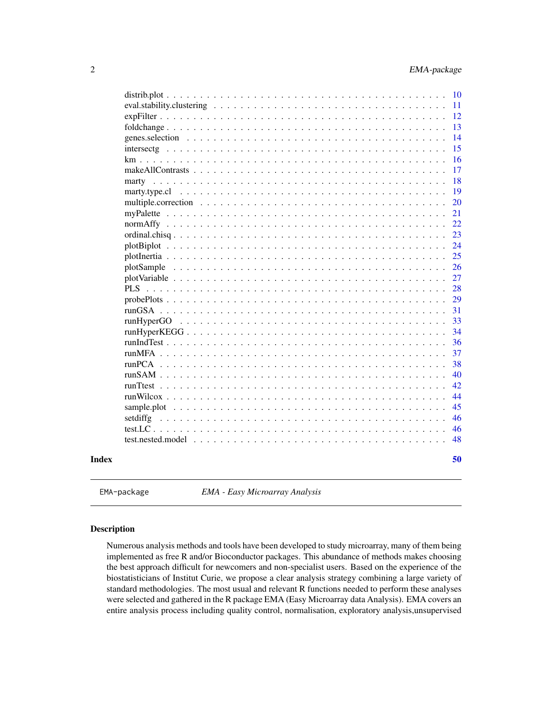<span id="page-1-0"></span>

| km                           |  |  |  |  |  |  |  |  |  |  |  |  |  |  |
|------------------------------|--|--|--|--|--|--|--|--|--|--|--|--|--|--|
|                              |  |  |  |  |  |  |  |  |  |  |  |  |  |  |
|                              |  |  |  |  |  |  |  |  |  |  |  |  |  |  |
|                              |  |  |  |  |  |  |  |  |  |  |  |  |  |  |
|                              |  |  |  |  |  |  |  |  |  |  |  |  |  |  |
|                              |  |  |  |  |  |  |  |  |  |  |  |  |  |  |
|                              |  |  |  |  |  |  |  |  |  |  |  |  |  |  |
|                              |  |  |  |  |  |  |  |  |  |  |  |  |  |  |
|                              |  |  |  |  |  |  |  |  |  |  |  |  |  |  |
|                              |  |  |  |  |  |  |  |  |  |  |  |  |  |  |
|                              |  |  |  |  |  |  |  |  |  |  |  |  |  |  |
|                              |  |  |  |  |  |  |  |  |  |  |  |  |  |  |
| $PLS$                        |  |  |  |  |  |  |  |  |  |  |  |  |  |  |
| probePlots $\ldots$ $\ldots$ |  |  |  |  |  |  |  |  |  |  |  |  |  |  |
| runGSA                       |  |  |  |  |  |  |  |  |  |  |  |  |  |  |
|                              |  |  |  |  |  |  |  |  |  |  |  |  |  |  |
|                              |  |  |  |  |  |  |  |  |  |  |  |  |  |  |
| $runIndTest$                 |  |  |  |  |  |  |  |  |  |  |  |  |  |  |
| $runMFA$                     |  |  |  |  |  |  |  |  |  |  |  |  |  |  |
| $runPCA$                     |  |  |  |  |  |  |  |  |  |  |  |  |  |  |
| $runSAM$                     |  |  |  |  |  |  |  |  |  |  |  |  |  |  |
|                              |  |  |  |  |  |  |  |  |  |  |  |  |  |  |
|                              |  |  |  |  |  |  |  |  |  |  |  |  |  |  |
|                              |  |  |  |  |  |  |  |  |  |  |  |  |  |  |
|                              |  |  |  |  |  |  |  |  |  |  |  |  |  |  |
| setdiffg                     |  |  |  |  |  |  |  |  |  |  |  |  |  |  |
|                              |  |  |  |  |  |  |  |  |  |  |  |  |  |  |
|                              |  |  |  |  |  |  |  |  |  |  |  |  |  |  |
|                              |  |  |  |  |  |  |  |  |  |  |  |  |  |  |

EMA-package *EMA - Easy Microarray Analysis*

# Description

Numerous analysis methods and tools have been developed to study microarray, many of them being implemented as free R and/or Bioconductor packages. This abundance of methods makes choosing the best approach difficult for newcomers and non-specialist users. Based on the experience of the biostatisticians of Institut Curie, we propose a clear analysis strategy combining a large variety of standard methodologies. The most usual and relevant R functions needed to perform these analyses were selected and gathered in the R package EMA (Easy Microarray data Analysis). EMA covers an entire analysis process including quality control, normalisation, exploratory analysis,unsupervised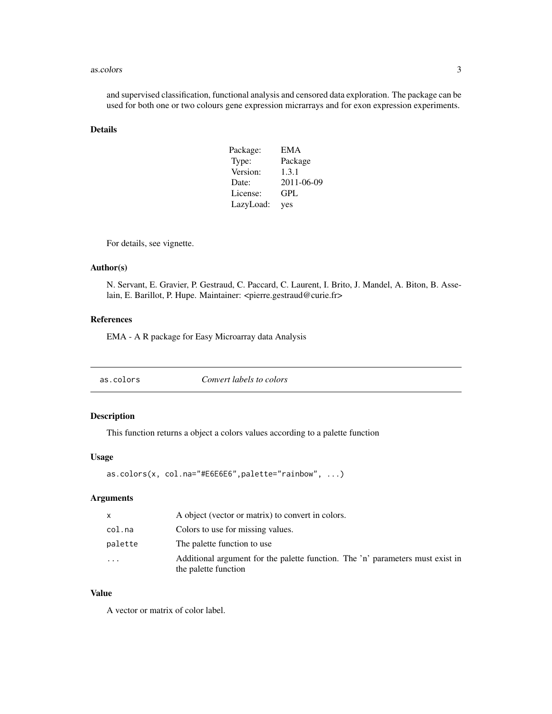#### <span id="page-2-0"></span>as.colors 3

and supervised classification, functional analysis and censored data exploration. The package can be used for both one or two colours gene expression micrarrays and for exon expression experiments.

# Details

| Package:  | <b>EMA</b> |
|-----------|------------|
| Type:     | Package    |
| Version:  | 1.3.1      |
| Date:     | 2011-06-09 |
| License:  | GPL        |
| LazyLoad: | yes        |

For details, see vignette.

#### Author(s)

N. Servant, E. Gravier, P. Gestraud, C. Paccard, C. Laurent, I. Brito, J. Mandel, A. Biton, B. Asselain, E. Barillot, P. Hupe. Maintainer: <pierre.gestraud@curie.fr>

# References

EMA - A R package for Easy Microarray data Analysis

# Description

This function returns a object a colors values according to a palette function

#### Usage

```
as.colors(x, col.na="#E6E6E6",palette="rainbow", ...)
```
# Arguments

| $\mathsf{x}$ | A object (vector or matrix) to convert in colors.                                                      |
|--------------|--------------------------------------------------------------------------------------------------------|
| col.na       | Colors to use for missing values.                                                                      |
| palette      | The palette function to use.                                                                           |
| .            | Additional argument for the palette function. The 'n' parameters must exist in<br>the palette function |

# Value

A vector or matrix of color label.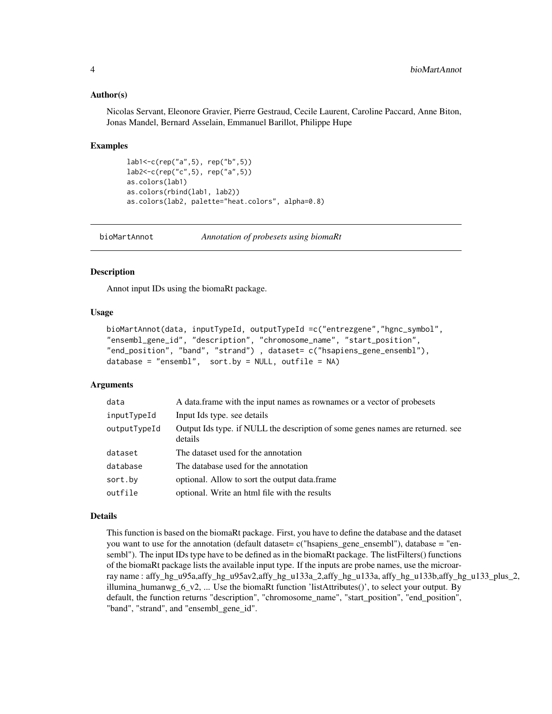#### <span id="page-3-0"></span>Author(s)

Nicolas Servant, Eleonore Gravier, Pierre Gestraud, Cecile Laurent, Caroline Paccard, Anne Biton, Jonas Mandel, Bernard Asselain, Emmanuel Barillot, Philippe Hupe

#### Examples

```
lab1<-c(rep("a",5), rep("b",5))
lab2<-c(rep("c",5), rep("a",5))
as.colors(lab1)
as.colors(rbind(lab1, lab2))
as.colors(lab2, palette="heat.colors", alpha=0.8)
```
bioMartAnnot *Annotation of probesets using biomaRt*

# **Description**

Annot input IDs using the biomaRt package.

#### Usage

```
bioMartAnnot(data, inputTypeId, outputTypeId =c("entrezgene","hgnc_symbol",
"ensembl_gene_id", "description", "chromosome_name", "start_position",
"end_position", "band", "strand") , dataset= c("hsapiens_gene_ensembl"),
database = "ensembl", sort.by = NULL, outfile = NA)
```
#### Arguments

| data         | A data frame with the input names as rownames or a vector of probesets                    |
|--------------|-------------------------------------------------------------------------------------------|
| inputTypeId  | Input Ids type. see details                                                               |
| outputTypeId | Output Ids type. if NULL the description of some genes names are returned. see<br>details |
| dataset      | The dataset used for the annotation                                                       |
| database     | The database used for the annotation                                                      |
| sort.by      | optional. Allow to sort the output data.frame                                             |
| outfile      | optional. Write an html file with the results                                             |

#### Details

This function is based on the biomaRt package. First, you have to define the database and the dataset you want to use for the annotation (default dataset= c("hsapiens\_gene\_ensembl"), database = "ensembl"). The input IDs type have to be defined as in the biomaRt package. The listFilters() functions of the biomaRt package lists the available input type. If the inputs are probe names, use the microarray name : affy\_hg\_u95a,affy\_hg\_u95av2,affy\_hg\_u133a\_2,affy\_hg\_u133a, affy\_hg\_u133b,affy\_hg\_u133\_plus\_2, illumina\_humanwg\_6\_v2, ... Use the biomaRt function 'listAttributes()', to select your output. By default, the function returns "description", "chromosome\_name", "start\_position", "end\_position", "band", "strand", and "ensembl\_gene\_id".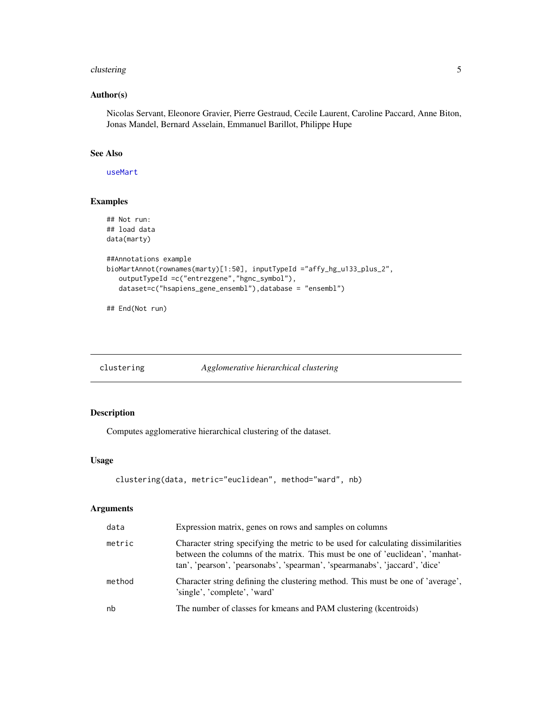#### <span id="page-4-0"></span>clustering the state of the state of the state of the state of the state of the state of the state of the state of the state of the state of the state of the state of the state of the state of the state of the state of the

# Author(s)

Nicolas Servant, Eleonore Gravier, Pierre Gestraud, Cecile Laurent, Caroline Paccard, Anne Biton, Jonas Mandel, Bernard Asselain, Emmanuel Barillot, Philippe Hupe

# See Also

[useMart](#page-0-0)

# Examples

```
## Not run:
## load data
data(marty)
##Annotations example
bioMartAnnot(rownames(marty)[1:50], inputTypeId ="affy_hg_u133_plus_2",
  outputTypeId =c("entrezgene","hgnc_symbol"),
  dataset=c("hsapiens_gene_ensembl"),database = "ensembl")
```
## End(Not run)

<span id="page-4-1"></span>clustering *Agglomerative hierarchical clustering*

#### Description

Computes agglomerative hierarchical clustering of the dataset.

# Usage

```
clustering(data, metric="euclidean", method="ward", nb)
```
#### Arguments

| data   | Expression matrix, genes on rows and samples on columns                                                                                                                                                                                          |
|--------|--------------------------------------------------------------------------------------------------------------------------------------------------------------------------------------------------------------------------------------------------|
| metric | Character string specifying the metric to be used for calculating dissimilarities<br>between the columns of the matrix. This must be one of 'euclidean', 'manhat-<br>tan', 'pearson', 'pearsonabs', 'spearman', 'spearmanabs', 'jaccard', 'dice' |
| method | Character string defining the clustering method. This must be one of 'average',<br>'single', 'complete', 'ward'                                                                                                                                  |
| nb     | The number of classes for kmeans and PAM clustering (kcentroids)                                                                                                                                                                                 |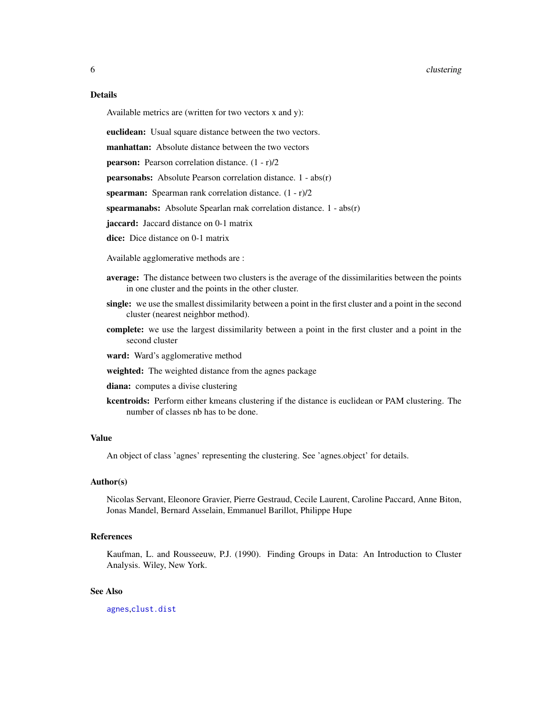#### <span id="page-5-0"></span>6 clustering the contract of the contract of the contract of the contract of the contract of the contract of the contract of the contract of the contract of the contract of the contract of the contract of the contract of t

# Details

Available metrics are (written for two vectors x and y):

euclidean: Usual square distance between the two vectors.

manhattan: Absolute distance between the two vectors

pearson: Pearson correlation distance. (1 - r)/2

pearsonabs: Absolute Pearson correlation distance. 1 - abs(r)

spearman: Spearman rank correlation distance.  $(1 - r)/2$ 

spearmanabs: Absolute Spearlan rnak correlation distance. 1 - abs(r)

jaccard: Jaccard distance on 0-1 matrix

dice: Dice distance on 0-1 matrix

Available agglomerative methods are :

- average: The distance between two clusters is the average of the dissimilarities between the points in one cluster and the points in the other cluster.
- single: we use the smallest dissimilarity between a point in the first cluster and a point in the second cluster (nearest neighbor method).
- complete: we use the largest dissimilarity between a point in the first cluster and a point in the second cluster

ward: Ward's agglomerative method

- weighted: The weighted distance from the agnes package
- diana: computes a divise clustering
- kcentroids: Perform either kmeans clustering if the distance is euclidean or PAM clustering. The number of classes nb has to be done.

#### Value

An object of class 'agnes' representing the clustering. See 'agnes.object' for details.

#### Author(s)

Nicolas Servant, Eleonore Gravier, Pierre Gestraud, Cecile Laurent, Caroline Paccard, Anne Biton, Jonas Mandel, Bernard Asselain, Emmanuel Barillot, Philippe Hupe

# References

Kaufman, L. and Rousseeuw, P.J. (1990). Finding Groups in Data: An Introduction to Cluster Analysis. Wiley, New York.

#### See Also

[agnes](#page-0-0),[clust.dist](#page-0-0)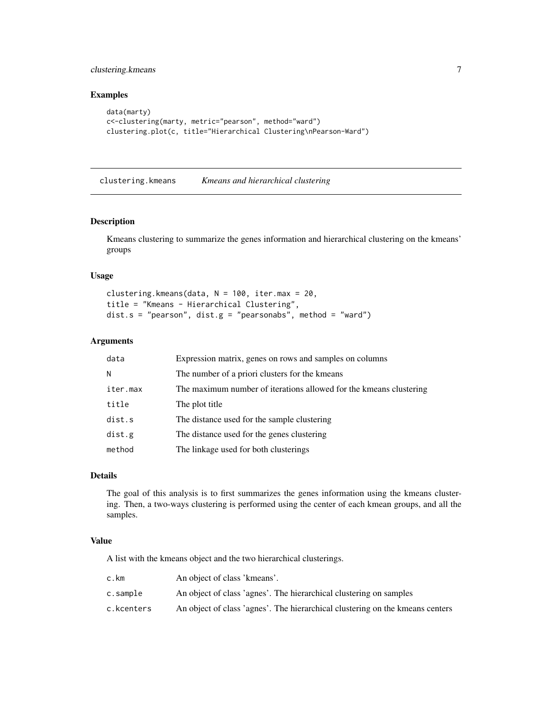# <span id="page-6-0"></span>clustering.kmeans 7

# Examples

```
data(marty)
c<-clustering(marty, metric="pearson", method="ward")
clustering.plot(c, title="Hierarchical Clustering\nPearson-Ward")
```
clustering.kmeans *Kmeans and hierarchical clustering*

#### Description

Kmeans clustering to summarize the genes information and hierarchical clustering on the kmeans' groups

#### Usage

```
clustering.kmeans(data, N = 100, iter.max = 20,
title = "Kmeans - Hierarchical Clustering",
dist.s = "pearson", dist.g = "pearsonabs", method = "ward")
```
# Arguments

| data     | Expression matrix, genes on rows and samples on columns            |
|----------|--------------------------------------------------------------------|
| N        | The number of a priori clusters for the kmeans                     |
| iter.max | The maximum number of iterations allowed for the kmeans clustering |
| title    | The plot title                                                     |
| dist.s   | The distance used for the sample clustering                        |
| dist.g   | The distance used for the genes clustering                         |
| method   | The linkage used for both clusterings                              |

# Details

The goal of this analysis is to first summarizes the genes information using the kmeans clustering. Then, a two-ways clustering is performed using the center of each kmean groups, and all the samples.

#### Value

A list with the kmeans object and the two hierarchical clusterings.

| c.km       | An object of class 'kmeans'.                                                  |
|------------|-------------------------------------------------------------------------------|
| c.sample   | An object of class 'agnes'. The hierarchical clustering on samples            |
| c.kcenters | An object of class 'agnes'. The hierarchical clustering on the kmeans centers |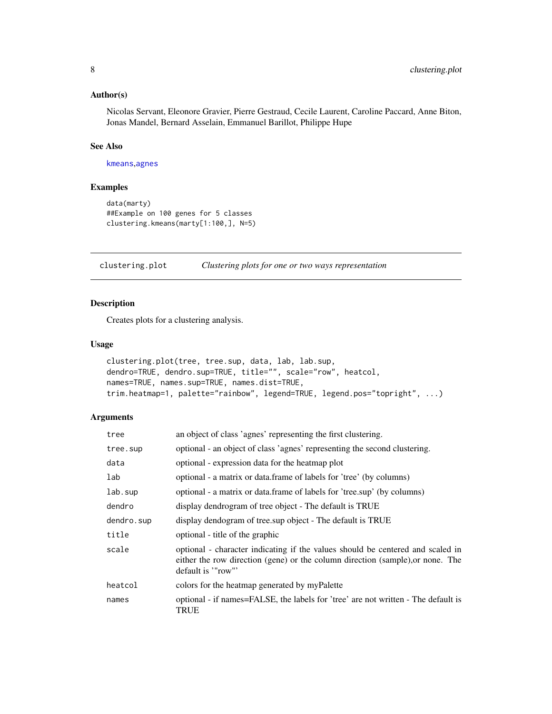#### <span id="page-7-0"></span>Author(s)

Nicolas Servant, Eleonore Gravier, Pierre Gestraud, Cecile Laurent, Caroline Paccard, Anne Biton, Jonas Mandel, Bernard Asselain, Emmanuel Barillot, Philippe Hupe

# See Also

[kmeans](#page-0-0),[agnes](#page-0-0)

# Examples

```
data(marty)
##Example on 100 genes for 5 classes
clustering.kmeans(marty[1:100,], N=5)
```
clustering.plot *Clustering plots for one or two ways representation*

# Description

Creates plots for a clustering analysis.

#### Usage

```
clustering.plot(tree, tree.sup, data, lab, lab.sup,
dendro=TRUE, dendro.sup=TRUE, title="", scale="row", heatcol,
names=TRUE, names.sup=TRUE, names.dist=TRUE,
trim.heatmap=1, palette="rainbow", legend=TRUE, legend.pos="topright", ...)
```
# Arguments

| tree       | an object of class 'agnes' representing the first clustering.                                                                                                                          |
|------------|----------------------------------------------------------------------------------------------------------------------------------------------------------------------------------------|
| tree.sup   | optional - an object of class 'agnes' representing the second clustering.                                                                                                              |
| data       | optional - expression data for the heatmap plot                                                                                                                                        |
| lab        | optional - a matrix or data.frame of labels for 'tree' (by columns)                                                                                                                    |
| lab.sup    | optional - a matrix or data.frame of labels for 'tree.sup' (by columns)                                                                                                                |
| dendro     | display dendrogram of tree object - The default is TRUE                                                                                                                                |
| dendro.sup | display dendogram of tree.sup object - The default is TRUE                                                                                                                             |
| title      | optional - title of the graphic                                                                                                                                                        |
| scale      | optional - character indicating if the values should be centered and scaled in<br>either the row direction (gene) or the column direction (sample), or none. The<br>default is '"row"' |
| heatcol    | colors for the heatmap generated by myPalette                                                                                                                                          |
| names      | optional - if names=FALSE, the labels for 'tree' are not written - The default is<br>TRUE                                                                                              |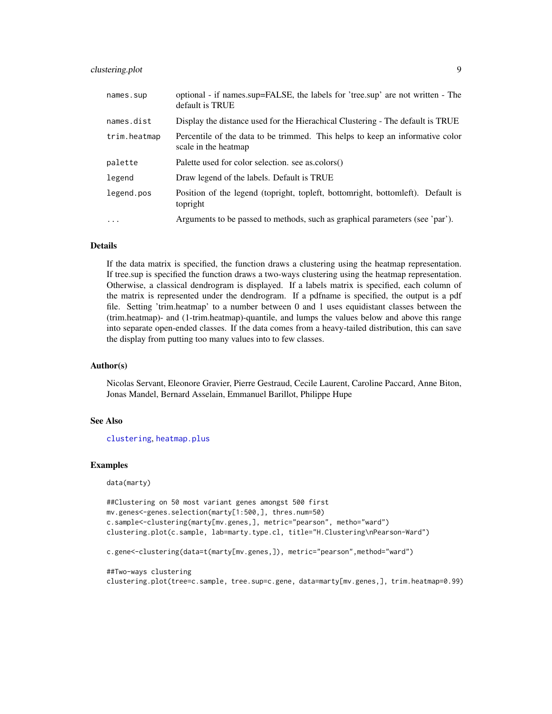# <span id="page-8-0"></span>clustering.plot 9

| names.sup    | optional - if names.sup=FALSE, the labels for 'tree.sup' are not written - The<br>default is TRUE     |
|--------------|-------------------------------------------------------------------------------------------------------|
| names.dist   | Display the distance used for the Hierachical Clustering - The default is TRUE                        |
| trim.heatmap | Percentile of the data to be trimmed. This helps to keep an informative color<br>scale in the heatmap |
| palette      | Palette used for color selection, see as colors()                                                     |
| legend       | Draw legend of the labels. Default is TRUE                                                            |
| legend.pos   | Position of the legend (topright, topleft, bottomright, bottomleft). Default is<br>topright           |
| $\ddotsc$    | Arguments to be passed to methods, such as graphical parameters (see 'par').                          |

# **Details**

If the data matrix is specified, the function draws a clustering using the heatmap representation. If tree.sup is specified the function draws a two-ways clustering using the heatmap representation. Otherwise, a classical dendrogram is displayed. If a labels matrix is specified, each column of the matrix is represented under the dendrogram. If a pdfname is specified, the output is a pdf file. Setting 'trim.heatmap' to a number between 0 and 1 uses equidistant classes between the (trim.heatmap)- and (1-trim.heatmap)-quantile, and lumps the values below and above this range into separate open-ended classes. If the data comes from a heavy-tailed distribution, this can save the display from putting too many values into to few classes.

#### Author(s)

Nicolas Servant, Eleonore Gravier, Pierre Gestraud, Cecile Laurent, Caroline Paccard, Anne Biton, Jonas Mandel, Bernard Asselain, Emmanuel Barillot, Philippe Hupe

#### See Also

[clustering](#page-4-1), [heatmap.plus](#page-0-0)

#### Examples

data(marty)

```
##Clustering on 50 most variant genes amongst 500 first
mv.genes<-genes.selection(marty[1:500,], thres.num=50)
c.sample<-clustering(marty[mv.genes,], metric="pearson", metho="ward")
clustering.plot(c.sample, lab=marty.type.cl, title="H.Clustering\nPearson-Ward")
```
c.gene<-clustering(data=t(marty[mv.genes,]), metric="pearson",method="ward")

##Two-ways clustering clustering.plot(tree=c.sample, tree.sup=c.gene, data=marty[mv.genes,], trim.heatmap=0.99)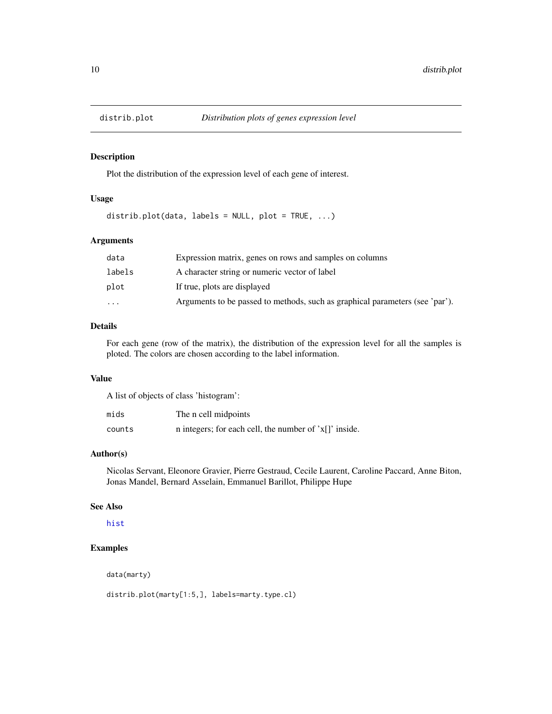<span id="page-9-0"></span>

#### Description

Plot the distribution of the expression level of each gene of interest.

# Usage

distrib.plot(data, labels = NULL, plot = TRUE,  $\ldots$ )

# Arguments

| data                    | Expression matrix, genes on rows and samples on columns                      |
|-------------------------|------------------------------------------------------------------------------|
| labels                  | A character string or numeric vector of label                                |
| plot                    | If true, plots are displayed                                                 |
| $\cdot$ $\cdot$ $\cdot$ | Arguments to be passed to methods, such as graphical parameters (see 'par'). |

# Details

For each gene (row of the matrix), the distribution of the expression level for all the samples is ploted. The colors are chosen according to the label information.

# Value

A list of objects of class 'histogram':

| mids   | The n cell midpoints                                    |
|--------|---------------------------------------------------------|
| counts | n integers; for each cell, the number of $x[]'$ inside. |

# Author(s)

Nicolas Servant, Eleonore Gravier, Pierre Gestraud, Cecile Laurent, Caroline Paccard, Anne Biton, Jonas Mandel, Bernard Asselain, Emmanuel Barillot, Philippe Hupe

#### See Also

[hist](#page-0-0)

# Examples

data(marty)

distrib.plot(marty[1:5,], labels=marty.type.cl)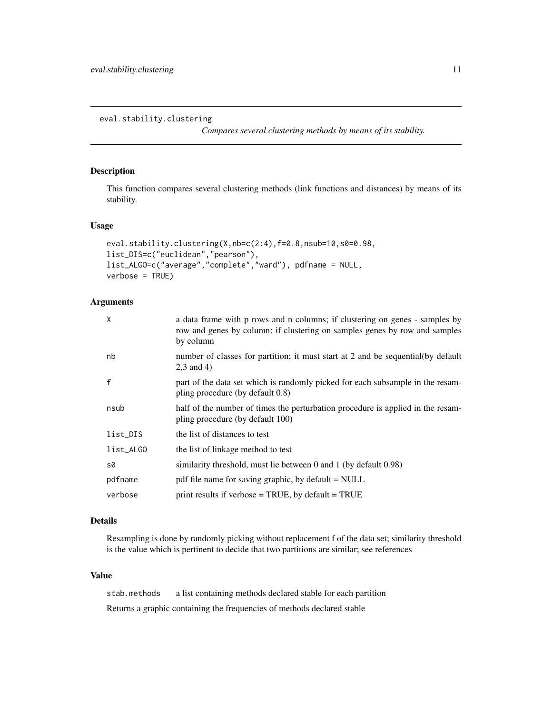<span id="page-10-0"></span>eval.stability.clustering

*Compares several clustering methods by means of its stability.*

#### Description

This function compares several clustering methods (link functions and distances) by means of its stability.

#### Usage

```
eval.stability.clustering(X,nb=c(2:4),f=0.8,nsub=10,s0=0.98,
list_DIS=c("euclidean","pearson"),
list_ALGO=c("average","complete","ward"), pdfname = NULL,
verbose = TRUE)
```
# Arguments

| X            | a data frame with p rows and n columns; if clustering on genes - samples by<br>row and genes by column; if clustering on samples genes by row and samples<br>by column |
|--------------|------------------------------------------------------------------------------------------------------------------------------------------------------------------------|
| nb           | number of classes for partition; it must start at 2 and be sequential(by default<br>$2.3$ and 4)                                                                       |
| $\mathsf{f}$ | part of the data set which is randomly picked for each subsample in the resam-<br>pling procedure (by default 0.8)                                                     |
| nsub         | half of the number of times the perturbation procedure is applied in the resam-<br>pling procedure (by default 100)                                                    |
| list_DIS     | the list of distances to test                                                                                                                                          |
| list_ALGO    | the list of linkage method to test                                                                                                                                     |
| s0           | similarity threshold, must lie between 0 and 1 (by default 0.98)                                                                                                       |
| pdfname      | pdf file name for saving graphic, by default = NULL                                                                                                                    |
| verbose      | print results if verbose $=$ TRUE, by default $=$ TRUE                                                                                                                 |

#### Details

Resampling is done by randomly picking without replacement f of the data set; similarity threshold is the value which is pertinent to decide that two partitions are similar; see references

#### Value

stab.methods a list containing methods declared stable for each partition Returns a graphic containing the frequencies of methods declared stable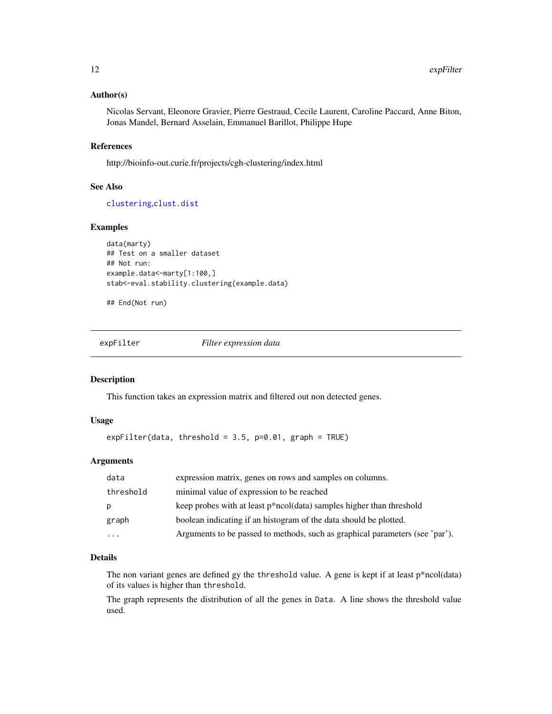#### <span id="page-11-0"></span>Author(s)

Nicolas Servant, Eleonore Gravier, Pierre Gestraud, Cecile Laurent, Caroline Paccard, Anne Biton, Jonas Mandel, Bernard Asselain, Emmanuel Barillot, Philippe Hupe

# References

http://bioinfo-out.curie.fr/projects/cgh-clustering/index.html

#### See Also

[clustering](#page-4-1),[clust.dist](#page-0-0)

# Examples

```
data(marty)
## Test on a smaller dataset
## Not run:
example.data<-marty[1:100,]
stab<-eval.stability.clustering(example.data)
```
## End(Not run)

expFilter *Filter expression data*

#### Description

This function takes an expression matrix and filtered out non detected genes.

#### Usage

```
expFilter(data, threshold = 3.5, p=0.01, graph = TRUE)
```
# Arguments

| data      | expression matrix, genes on rows and samples on columns.                     |
|-----------|------------------------------------------------------------------------------|
| threshold | minimal value of expression to be reached                                    |
| p         | keep probes with at least p*ncol(data) samples higher than threshold         |
| graph     | boolean indicating if an histogram of the data should be plotted.            |
| .         | Arguments to be passed to methods, such as graphical parameters (see 'par'). |

# Details

The non variant genes are defined gy the threshold value. A gene is kept if at least p\*ncol(data) of its values is higher than threshold.

The graph represents the distribution of all the genes in Data. A line shows the threshold value used.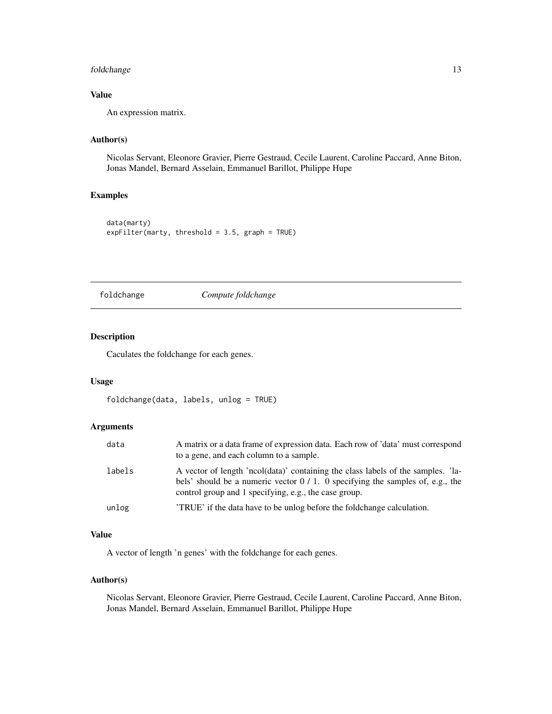# <span id="page-12-0"></span>foldchange 13

# Value

An expression matrix.

# Author(s)

Nicolas Servant, Eleonore Gravier, Pierre Gestraud, Cecile Laurent, Caroline Paccard, Anne Biton, Jonas Mandel, Bernard Asselain, Emmanuel Barillot, Philippe Hupe

# Examples

```
data(marty)
expFilter(marty, threshold = 3.5, graph = TRUE)
```
#### foldchange *Compute foldchange*

# Description

Caculates the foldchange for each genes.

# Usage

```
foldchange(data, labels, unlog = TRUE)
```
# Arguments

| data   | A matrix or a data frame of expression data. Each row of 'data' must correspond<br>to a gene, and each column to a sample.                                                                                                   |
|--------|------------------------------------------------------------------------------------------------------------------------------------------------------------------------------------------------------------------------------|
| labels | A vector of length 'ncol(data)' containing the class labels of the samples. 'la-<br>bels' should be a numeric vector $0/1$ . O specifying the samples of, e.g., the<br>control group and 1 specifying, e.g., the case group. |
| unlog  | TRUE if the data have to be unlog before the foldchange calculation.                                                                                                                                                         |

# Value

A vector of length 'n genes' with the foldchange for each genes.

# Author(s)

Nicolas Servant, Eleonore Gravier, Pierre Gestraud, Cecile Laurent, Caroline Paccard, Anne Biton, Jonas Mandel, Bernard Asselain, Emmanuel Barillot, Philippe Hupe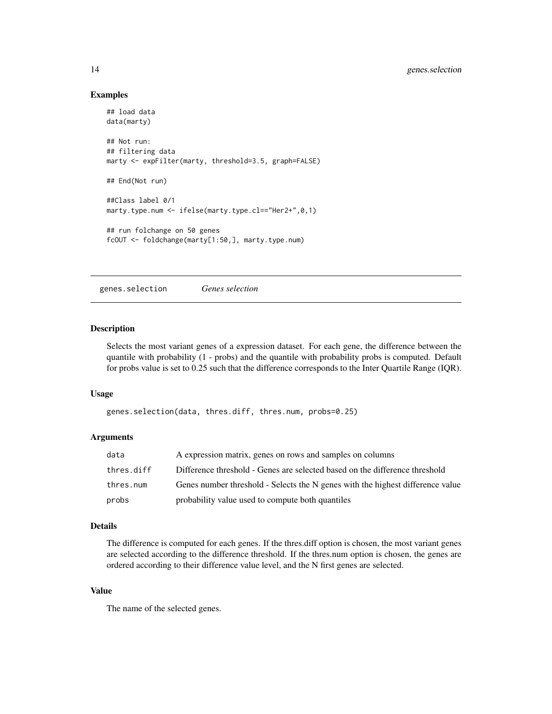#### Examples

```
## load data
data(marty)
## Not run:
## filtering data
marty <- expFilter(marty, threshold=3.5, graph=FALSE)
## End(Not run)
##Class label 0/1
marty.type.num <- ifelse(marty.type.cl=="Her2+",0,1)
## run folchange on 50 genes
fcOUT <- foldchange(marty[1:50,], marty.type.num)
```
genes.selection *Genes selection*

#### Description

Selects the most variant genes of a expression dataset. For each gene, the difference between the quantile with probability (1 - probs) and the quantile with probability probs is computed. Default for probs value is set to 0.25 such that the difference corresponds to the Inter Quartile Range (IQR).

#### Usage

```
genes.selection(data, thres.diff, thres.num, probs=0.25)
```
#### Arguments

| data       | A expression matrix, genes on rows and samples on columns                      |
|------------|--------------------------------------------------------------------------------|
| thres.diff | Difference threshold - Genes are selected based on the difference threshold    |
| thres.num  | Genes number threshold - Selects the N genes with the highest difference value |
| probs      | probability value used to compute both quantiles                               |

#### Details

The difference is computed for each genes. If the thres.diff option is chosen, the most variant genes are selected according to the difference threshold. If the thres.num option is chosen, the genes are ordered according to their difference value level, and the N first genes are selected.

# Value

The name of the selected genes.

<span id="page-13-0"></span>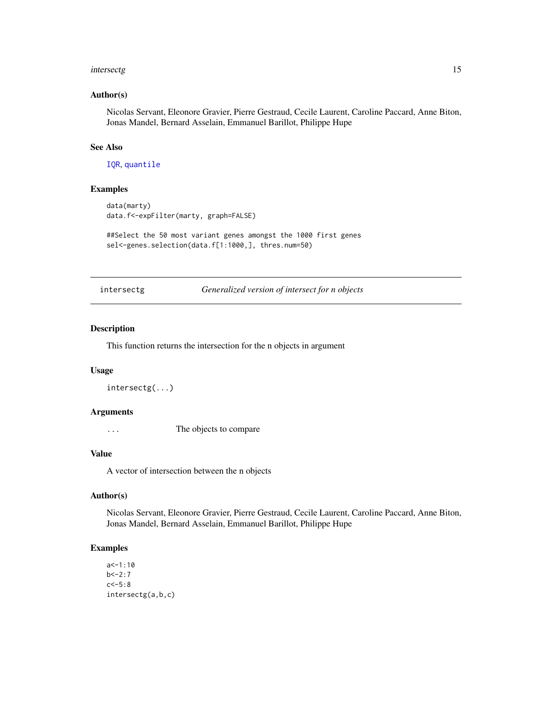#### <span id="page-14-0"></span>intersectg and the set of the set of the set of the set of the set of the set of the set of the set of the set of the set of the set of the set of the set of the set of the set of the set of the set of the set of the set o

#### Author(s)

Nicolas Servant, Eleonore Gravier, Pierre Gestraud, Cecile Laurent, Caroline Paccard, Anne Biton, Jonas Mandel, Bernard Asselain, Emmanuel Barillot, Philippe Hupe

#### See Also

[IQR](#page-0-0), [quantile](#page-0-0)

# Examples

```
data(marty)
data.f<-expFilter(marty, graph=FALSE)
##Select the 50 most variant genes amongst the 1000 first genes
```
sel<-genes.selection(data.f[1:1000,], thres.num=50)

intersectg *Generalized version of intersect for n objects*

#### Description

This function returns the intersection for the n objects in argument

#### Usage

intersectg(...)

# Arguments

... The objects to compare

#### Value

A vector of intersection between the n objects

# Author(s)

Nicolas Servant, Eleonore Gravier, Pierre Gestraud, Cecile Laurent, Caroline Paccard, Anne Biton, Jonas Mandel, Bernard Asselain, Emmanuel Barillot, Philippe Hupe

#### Examples

```
a < -1:10b < -2:7c < -5:8intersectg(a,b,c)
```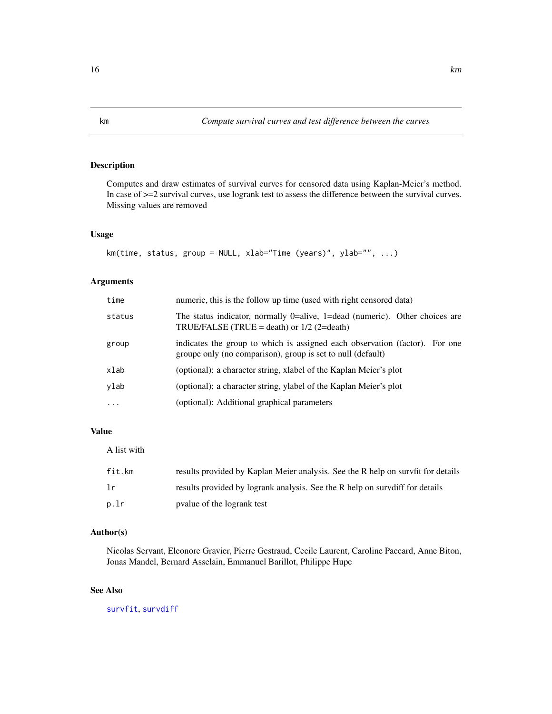# Description

Computes and draw estimates of survival curves for censored data using Kaplan-Meier's method. In case of >=2 survival curves, use logrank test to assess the difference between the survival curves. Missing values are removed

# Usage

```
km(time, status, group = NULL, xlab="Time (years)", ylab="", ...)
```
# Arguments

| time      | numeric, this is the follow up time (used with right censored data)                                                                        |
|-----------|--------------------------------------------------------------------------------------------------------------------------------------------|
| status    | The status indicator, normally $0$ =alive, 1=dead (numeric). Other choices are<br>TRUE/FALSE (TRUE = death) or $1/2$ (2=death)             |
| group     | indicates the group to which is assigned each observation (factor). For one<br>groupe only (no comparison), group is set to null (default) |
| xlab      | (optional): a character string, xlabel of the Kaplan Meier's plot                                                                          |
| ylab      | (optional): a character string, ylabel of the Kaplan Meier's plot                                                                          |
| $\ddotsc$ | (optional): Additional graphical parameters                                                                                                |

# Value

A list with

| fit.km | results provided by Kaplan Meier analysis. See the R help on survfit for details |
|--------|----------------------------------------------------------------------------------|
| -lr    | results provided by logrank analysis. See the R help on survdiff for details     |
| p.lr   | pyalue of the logrank test                                                       |

#### Author(s)

Nicolas Servant, Eleonore Gravier, Pierre Gestraud, Cecile Laurent, Caroline Paccard, Anne Biton, Jonas Mandel, Bernard Asselain, Emmanuel Barillot, Philippe Hupe

# See Also

[survfit](#page-0-0), [survdiff](#page-0-0)

<span id="page-15-0"></span>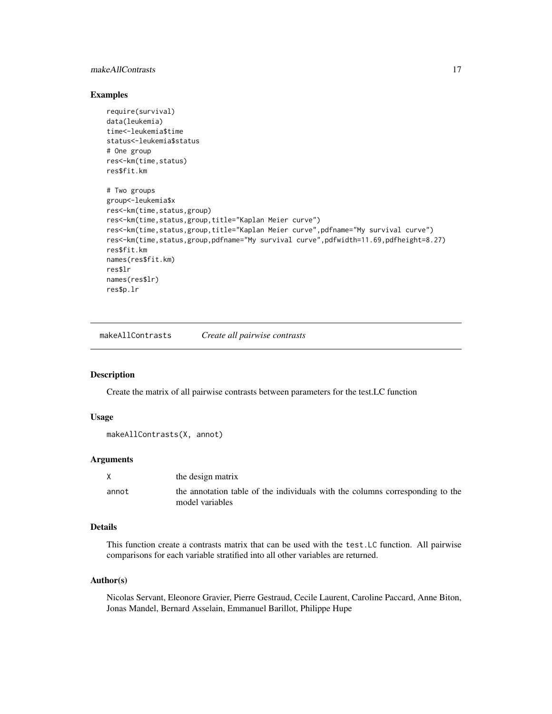# <span id="page-16-0"></span>makeAllContrasts 17

#### Examples

```
require(survival)
data(leukemia)
time<-leukemia$time
status<-leukemia$status
# One group
res<-km(time,status)
res$fit.km
# Two groups
group<-leukemia$x
res<-km(time,status,group)
res<-km(time,status,group,title="Kaplan Meier curve")
res<-km(time,status,group,title="Kaplan Meier curve",pdfname="My survival curve")
res<-km(time,status,group,pdfname="My survival curve",pdfwidth=11.69,pdfheight=8.27)
res$fit.km
names(res$fit.km)
res$lr
names(res$lr)
res$p.lr
```
makeAllContrasts *Create all pairwise contrasts*

#### Description

Create the matrix of all pairwise contrasts between parameters for the test.LC function

#### Usage

```
makeAllContrasts(X, annot)
```
#### Arguments

|       | the design matrix                                                                                |
|-------|--------------------------------------------------------------------------------------------------|
| annot | the annotation table of the individuals with the columns corresponding to the<br>model variables |

## Details

This function create a contrasts matrix that can be used with the test.LC function. All pairwise comparisons for each variable stratified into all other variables are returned.

#### Author(s)

Nicolas Servant, Eleonore Gravier, Pierre Gestraud, Cecile Laurent, Caroline Paccard, Anne Biton, Jonas Mandel, Bernard Asselain, Emmanuel Barillot, Philippe Hupe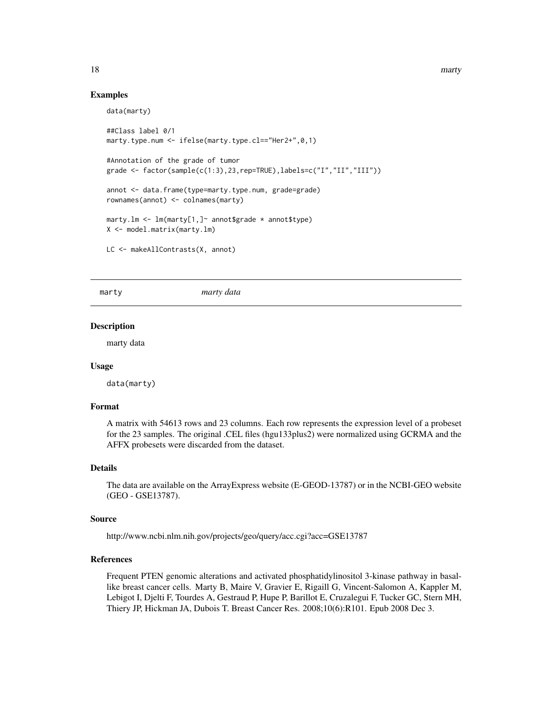#### Examples

```
data(marty)
##Class label 0/1
marty.type.num <- ifelse(marty.type.cl=="Her2+",0,1)
#Annotation of the grade of tumor
grade <- factor(sample(c(1:3),23,rep=TRUE),labels=c("I","II","III"))
annot <- data.frame(type=marty.type.num, grade=grade)
rownames(annot) <- colnames(marty)
marty.lm <- lm(marty[1,]~ annot$grade * annot$type)
X <- model.matrix(marty.lm)
LC <- makeAllContrasts(X, annot)
```
marty *marty data*

#### Description

marty data

#### Usage

data(marty)

#### Format

A matrix with 54613 rows and 23 columns. Each row represents the expression level of a probeset for the 23 samples. The original .CEL files (hgu133plus2) were normalized using GCRMA and the AFFX probesets were discarded from the dataset.

#### Details

The data are available on the ArrayExpress website (E-GEOD-13787) or in the NCBI-GEO website (GEO - GSE13787).

#### Source

http://www.ncbi.nlm.nih.gov/projects/geo/query/acc.cgi?acc=GSE13787

#### References

Frequent PTEN genomic alterations and activated phosphatidylinositol 3-kinase pathway in basallike breast cancer cells. Marty B, Maire V, Gravier E, Rigaill G, Vincent-Salomon A, Kappler M, Lebigot I, Djelti F, Tourdes A, Gestraud P, Hupe P, Barillot E, Cruzalegui F, Tucker GC, Stern MH, Thiery JP, Hickman JA, Dubois T. Breast Cancer Res. 2008;10(6):R101. Epub 2008 Dec 3.

<span id="page-17-0"></span>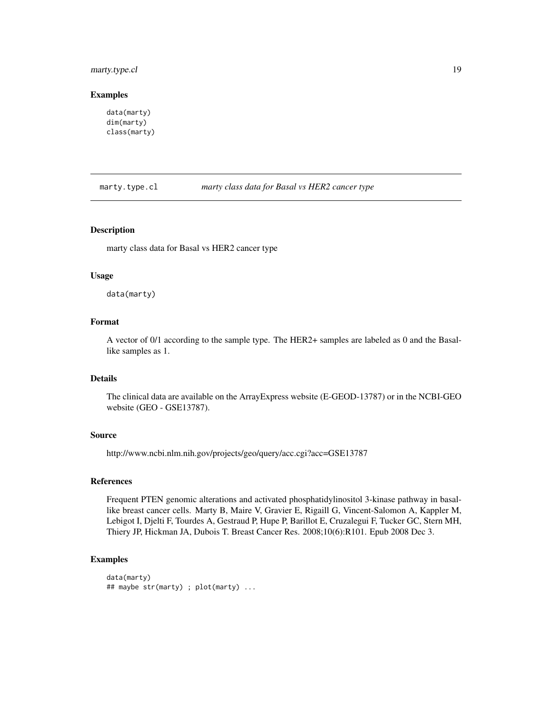# <span id="page-18-0"></span>marty.type.cl 19

#### Examples

```
data(marty)
dim(marty)
class(marty)
```
marty.type.cl *marty class data for Basal vs HER2 cancer type*

#### Description

marty class data for Basal vs HER2 cancer type

#### Usage

data(marty)

# Format

A vector of 0/1 according to the sample type. The HER2+ samples are labeled as 0 and the Basallike samples as 1.

# Details

The clinical data are available on the ArrayExpress website (E-GEOD-13787) or in the NCBI-GEO website (GEO - GSE13787).

#### Source

http://www.ncbi.nlm.nih.gov/projects/geo/query/acc.cgi?acc=GSE13787

# References

Frequent PTEN genomic alterations and activated phosphatidylinositol 3-kinase pathway in basallike breast cancer cells. Marty B, Maire V, Gravier E, Rigaill G, Vincent-Salomon A, Kappler M, Lebigot I, Djelti F, Tourdes A, Gestraud P, Hupe P, Barillot E, Cruzalegui F, Tucker GC, Stern MH, Thiery JP, Hickman JA, Dubois T. Breast Cancer Res. 2008;10(6):R101. Epub 2008 Dec 3.

#### Examples

```
data(marty)
## maybe str(marty) ; plot(marty) ...
```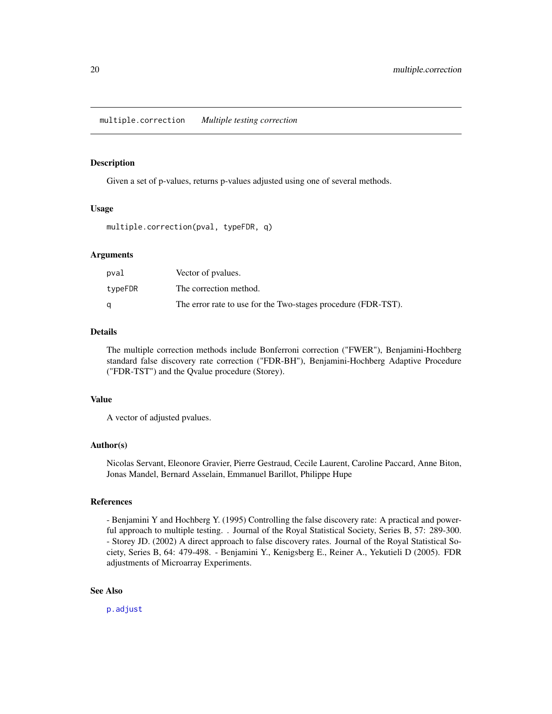# <span id="page-19-1"></span><span id="page-19-0"></span>Description

Given a set of p-values, returns p-values adjusted using one of several methods.

#### Usage

multiple.correction(pval, typeFDR, q)

#### Arguments

| pval    | Vector of pyalues.                                            |
|---------|---------------------------------------------------------------|
| typeFDR | The correction method.                                        |
|         | The error rate to use for the Two-stages procedure (FDR-TST). |

# Details

The multiple correction methods include Bonferroni correction ("FWER"), Benjamini-Hochberg standard false discovery rate correction ("FDR-BH"), Benjamini-Hochberg Adaptive Procedure ("FDR-TST") and the Qvalue procedure (Storey).

#### Value

A vector of adjusted pvalues.

#### Author(s)

Nicolas Servant, Eleonore Gravier, Pierre Gestraud, Cecile Laurent, Caroline Paccard, Anne Biton, Jonas Mandel, Bernard Asselain, Emmanuel Barillot, Philippe Hupe

#### References

- Benjamini Y and Hochberg Y. (1995) Controlling the false discovery rate: A practical and powerful approach to multiple testing. . Journal of the Royal Statistical Society, Series B, 57: 289-300. - Storey JD. (2002) A direct approach to false discovery rates. Journal of the Royal Statistical Society, Series B, 64: 479-498. - Benjamini Y., Kenigsberg E., Reiner A., Yekutieli D (2005). FDR adjustments of Microarray Experiments.

# See Also

[p.adjust](#page-0-0)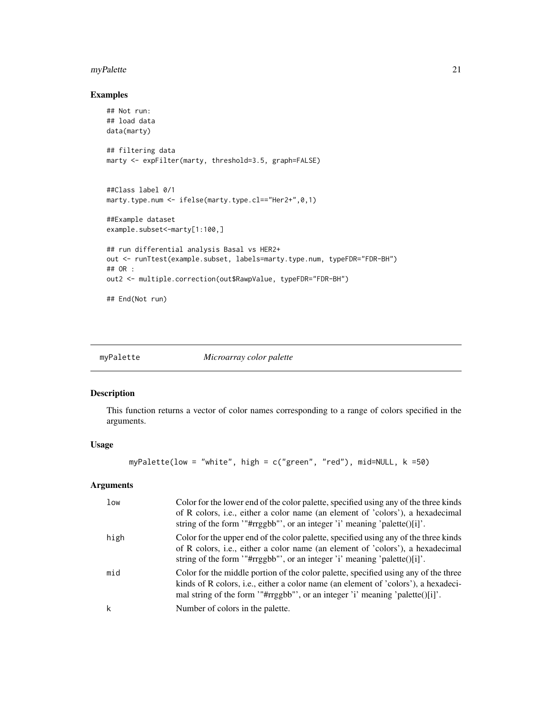#### <span id="page-20-0"></span>myPalette 21

# Examples

```
## Not run:
## load data
data(marty)
## filtering data
marty <- expFilter(marty, threshold=3.5, graph=FALSE)
##Class label 0/1
marty.type.num <- ifelse(marty.type.cl=="Her2+",0,1)
##Example dataset
example.subset <- marty[1:100,]
## run differential analysis Basal vs HER2+
out <- runTtest(example.subset, labels=marty.type.num, typeFDR="FDR-BH")
## OR :
out2 <- multiple.correction(out$RawpValue, typeFDR="FDR-BH")
```
## End(Not run)

myPalette *Microarray color palette*

## Description

This function returns a vector of color names corresponding to a range of colors specified in the arguments.

#### Usage

myPalette(low = "white", high = c("green", "red"), mid=NULL, k =50)

# Arguments

| low  | Color for the lower end of the color palette, specified using any of the three kinds<br>of R colors, i.e., either a color name (an element of 'colors'), a hexadecimal<br>string of the form "#rrggbb"', or an integer 'i' meaning 'palette()[i]'.                            |
|------|-------------------------------------------------------------------------------------------------------------------------------------------------------------------------------------------------------------------------------------------------------------------------------|
| high | Color for the upper end of the color palette, specified using any of the three kinds<br>of R colors, i.e., either a color name (an element of 'colors'), a hexadecimal<br>string of the form "#rrggbb"', or an integer 'i' meaning 'palette( $\lfloor \frac{n}{2} \rfloor$ '. |
| mid  | Color for the middle portion of the color palette, specified using any of the three<br>kinds of R colors, i.e., either a color name (an element of 'colors'), a hexadeci-<br>mal string of the form "#rrggbb"', or an integer 'i' meaning 'palette( $\frac{1}{i}$ '.          |
| k    | Number of colors in the palette.                                                                                                                                                                                                                                              |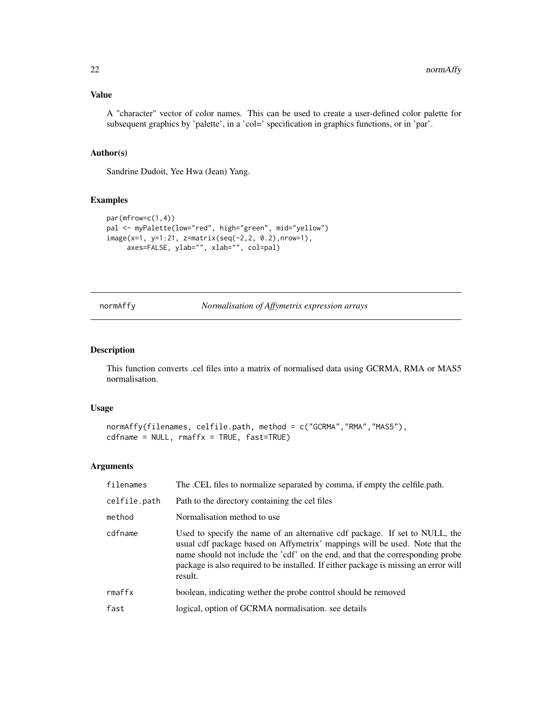# <span id="page-21-0"></span>Value

A "character" vector of color names. This can be used to create a user-defined color palette for subsequent graphics by 'palette', in a 'col=' specification in graphics functions, or in 'par'.

#### Author(s)

Sandrine Dudoit, Yee Hwa (Jean) Yang.

# Examples

```
par(mfrow=c(1,4))
pal <- myPalette(low="red", high="green", mid="yellow")
image(x=1, y=1:21, z=matrix(seq(-2,2, 0.2),nrow=1),
     axes=FALSE, ylab="", xlab="", col=pal)
```
# normAffy *Normalisation of Affymetrix expression arrays*

# Description

This function converts .cel files into a matrix of normalised data using GCRMA, RMA or MAS5 normalisation.

#### Usage

```
normAffy(filenames, celfile.path, method = c("GCRMA","RMA","MAS5"),
cdfname = NULL, rmaffx = TRUE, fast=TRUE)
```
# Arguments

| filenames    | The .CEL files to normalize separated by comma, if empty the celfile.path.                                                                                                                                                                                                                                                                      |
|--------------|-------------------------------------------------------------------------------------------------------------------------------------------------------------------------------------------------------------------------------------------------------------------------------------------------------------------------------------------------|
| celfile.path | Path to the directory containing the cel files                                                                                                                                                                                                                                                                                                  |
| method       | Normalisation method to use.                                                                                                                                                                                                                                                                                                                    |
| cdfname      | Used to specify the name of an alternative cdf package. If set to NULL, the<br>usual cdf package based on Affymetrix' mappings will be used. Note that the<br>name should not include the 'cdf' on the end, and that the corresponding probe<br>package is also required to be installed. If either package is missing an error will<br>result. |
| rmaffx       | boolean, indicating wether the probe control should be removed                                                                                                                                                                                                                                                                                  |
| fast         | logical, option of GCRMA normalisation, see details                                                                                                                                                                                                                                                                                             |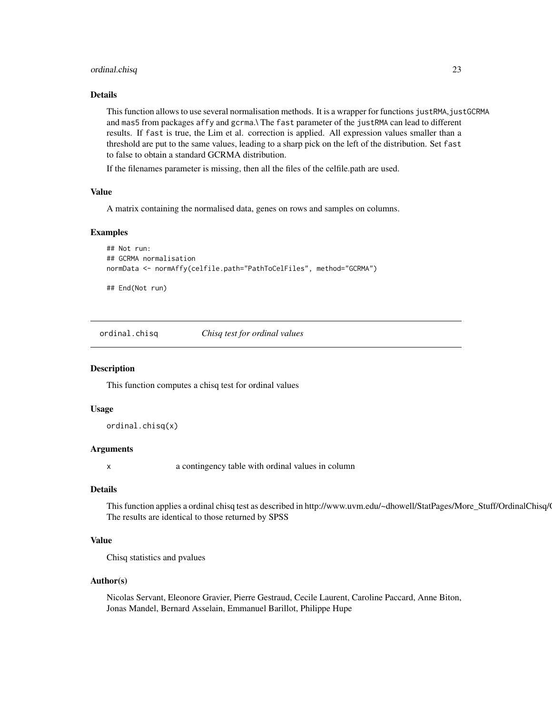# <span id="page-22-0"></span>ordinal.chisq 23

#### Details

This function allows to use several normalisation methods. It is a wrapper for functions justRMA, justGCRMA and mas5 from packages affy and gcrma.\ The fast parameter of the justRMA can lead to different results. If fast is true, the Lim et al. correction is applied. All expression values smaller than a threshold are put to the same values, leading to a sharp pick on the left of the distribution. Set fast to false to obtain a standard GCRMA distribution.

If the filenames parameter is missing, then all the files of the celfile.path are used.

#### Value

A matrix containing the normalised data, genes on rows and samples on columns.

#### Examples

```
## Not run:
## GCRMA normalisation
normData <- normAffy(celfile.path="PathToCelFiles", method="GCRMA")
```
## End(Not run)

ordinal.chisq *Chisq test for ordinal values*

#### Description

This function computes a chisq test for ordinal values

#### Usage

ordinal.chisq(x)

#### Arguments

x a contingency table with ordinal values in column

#### Details

This function applies a ordinal chisq test as described in http://www.uvm.edu/~dhowell/StatPages/More\_Stuff/OrdinalChisq/ The results are identical to those returned by SPSS

# Value

Chisq statistics and pvalues

#### Author(s)

Nicolas Servant, Eleonore Gravier, Pierre Gestraud, Cecile Laurent, Caroline Paccard, Anne Biton, Jonas Mandel, Bernard Asselain, Emmanuel Barillot, Philippe Hupe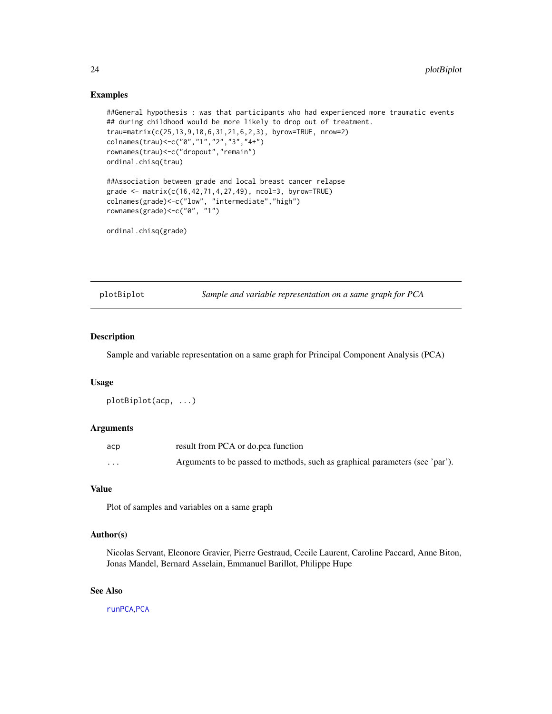#### Examples

```
##General hypothesis : was that participants who had experienced more traumatic events
## during childhood would be more likely to drop out of treatment.
trau=matrix(c(25,13,9,10,6,31,21,6,2,3), byrow=TRUE, nrow=2)
colnames(trau)<-c("0","1","2","3","4+")
rownames(trau)<-c("dropout","remain")
ordinal.chisq(trau)
##Association between grade and local breast cancer relapse
grade <- matrix(c(16,42,71,4,27,49), ncol=3, byrow=TRUE)
colnames(grade)<-c("low", "intermediate","high")
rownames(grade)<-c("0", "1")
```

```
ordinal.chisq(grade)
```
plotBiplot *Sample and variable representation on a same graph for PCA*

# Description

Sample and variable representation on a same graph for Principal Component Analysis (PCA)

#### Usage

```
plotBiplot(acp, ...)
```
#### **Arguments**

| acp                     | result from PCA or do.pca function                                           |
|-------------------------|------------------------------------------------------------------------------|
| $\cdot$ $\cdot$ $\cdot$ | Arguments to be passed to methods, such as graphical parameters (see 'par'). |

#### Value

Plot of samples and variables on a same graph

# Author(s)

Nicolas Servant, Eleonore Gravier, Pierre Gestraud, Cecile Laurent, Caroline Paccard, Anne Biton, Jonas Mandel, Bernard Asselain, Emmanuel Barillot, Philippe Hupe

# See Also

[runPCA](#page-37-1),[PCA](#page-0-0)

<span id="page-23-0"></span>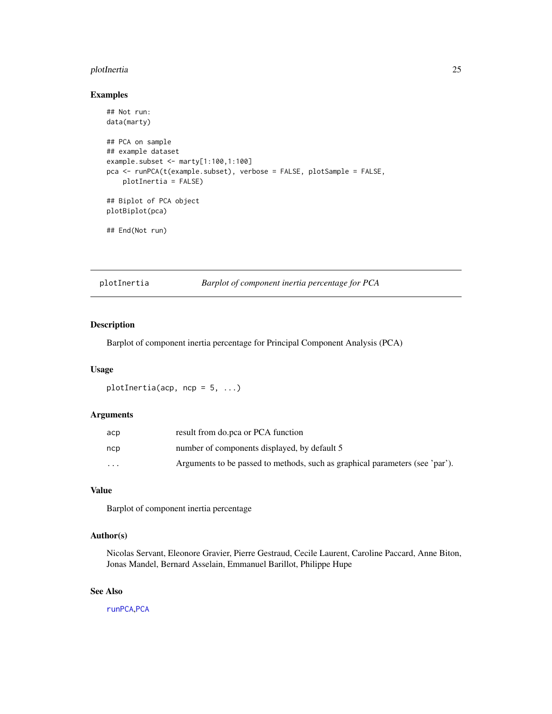# <span id="page-24-0"></span>plotInertia 25

# Examples

```
## Not run:
data(marty)
## PCA on sample
## example dataset
example.subset <- marty[1:100,1:100]
pca <- runPCA(t(example.subset), verbose = FALSE, plotSample = FALSE,
   plotInertia = FALSE)
## Biplot of PCA object
plotBiplot(pca)
## End(Not run)
```
<span id="page-24-1"></span>plotInertia *Barplot of component inertia percentage for PCA*

# Description

Barplot of component inertia percentage for Principal Component Analysis (PCA)

# Usage

plotInertia(acp,  $ncp = 5, ...$ )

### Arguments

| аср      | result from do.pca or PCA function                                           |
|----------|------------------------------------------------------------------------------|
| ncp      | number of components displayed, by default 5                                 |
| $\cdots$ | Arguments to be passed to methods, such as graphical parameters (see 'par'). |

# Value

Barplot of component inertia percentage

# Author(s)

Nicolas Servant, Eleonore Gravier, Pierre Gestraud, Cecile Laurent, Caroline Paccard, Anne Biton, Jonas Mandel, Bernard Asselain, Emmanuel Barillot, Philippe Hupe

# See Also

[runPCA](#page-37-1),[PCA](#page-0-0)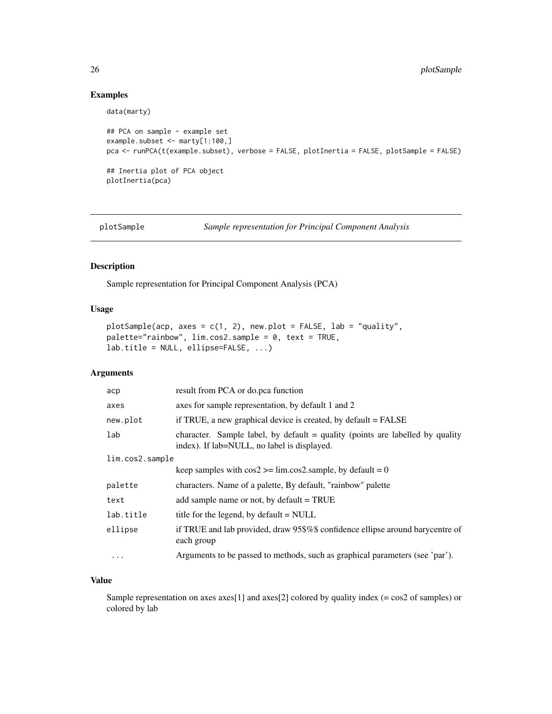# Examples

```
data(marty)
## PCA on sample - example set
example.subset <- marty[1:100,]
pca <- runPCA(t(example.subset), verbose = FALSE, plotInertia = FALSE, plotSample = FALSE)
## Inertia plot of PCA object
plotInertia(pca)
```
<span id="page-25-1"></span>plotSample *Sample representation for Principal Component Analysis*

#### Description

Sample representation for Principal Component Analysis (PCA)

#### Usage

```
plotSample(acp, axes = c(1, 2), new.plot = FALSE, lab = "quality",
palette="rainbow", lim.cos2.sample = 0, text = TRUE,
lab.title = NULL, ellipse=FALSE, ...)
```
# Arguments

| аср             | result from PCA or do.pca function                                                                                           |
|-----------------|------------------------------------------------------------------------------------------------------------------------------|
| axes            | axes for sample representation, by default 1 and 2                                                                           |
| new.plot        | if TRUE, a new graphical device is created, by default = FALSE                                                               |
| lab             | character. Sample label, by default = quality (points are labelled by quality<br>index). If lab=NULL, no label is displayed. |
| lim.cos2.sample |                                                                                                                              |
|                 | keep samples with $\cos 2 \ge \lim_{x \to \infty} \cos 2$ sample, by default = 0                                             |
| palette         | characters. Name of a palette, By default, "rainbow" palette                                                                 |
| text            | add sample name or not, by default $= TRUE$                                                                                  |
| lab.title       | title for the legend, by default = NULL                                                                                      |
| ellipse         | if TRUE and lab provided, draw 95\$%\$ confidence ellipse around barycentre of<br>each group                                 |
| $\cdots$        | Arguments to be passed to methods, such as graphical parameters (see 'par').                                                 |

#### Value

Sample representation on axes axes[1] and axes[2] colored by quality index (= cos2 of samples) or colored by lab

<span id="page-25-0"></span>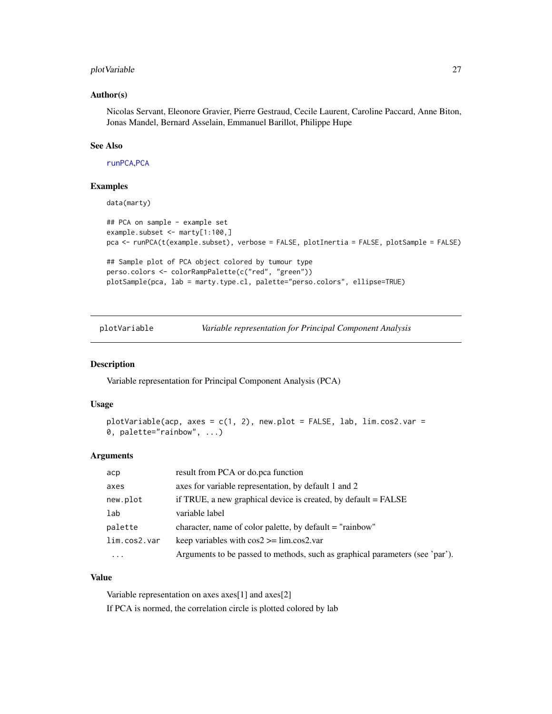# <span id="page-26-0"></span>plotVariable 27

#### Author(s)

Nicolas Servant, Eleonore Gravier, Pierre Gestraud, Cecile Laurent, Caroline Paccard, Anne Biton, Jonas Mandel, Bernard Asselain, Emmanuel Barillot, Philippe Hupe

# See Also

[runPCA](#page-37-1),[PCA](#page-0-0)

#### Examples

```
data(marty)
## PCA on sample - example set
example.subset <- marty[1:100,]
pca <- runPCA(t(example.subset), verbose = FALSE, plotInertia = FALSE, plotSample = FALSE)
## Sample plot of PCA object colored by tumour type
perso.colors <- colorRampPalette(c("red", "green"))
plotSample(pca, lab = marty.type.cl, palette="perso.colors", ellipse=TRUE)
```
<span id="page-26-1"></span>plotVariable *Variable representation for Principal Component Analysis*

#### Description

Variable representation for Principal Component Analysis (PCA)

#### Usage

```
plotVariable(acp, axes = c(1, 2), new.plot = FALSE, lab, lim. cos2. var =0, palette="rainbow", ...)
```
#### Arguments

| аср          | result from PCA or do.pca function                                           |
|--------------|------------------------------------------------------------------------------|
| axes         | axes for variable representation, by default 1 and 2                         |
| new.plot     | if TRUE, a new graphical device is created, by default = FALSE               |
| lab          | variable label                                                               |
| palette      | character, name of color palette, by default = "rainbow"                     |
| lim.cos2.var | keep variables with $\cos 2 \ge \lim_{x \to \infty} \cos 2 \cdot \varphi$    |
| .            | Arguments to be passed to methods, such as graphical parameters (see 'par'). |

#### Value

Variable representation on axes axes[1] and axes[2] If PCA is normed, the correlation circle is plotted colored by lab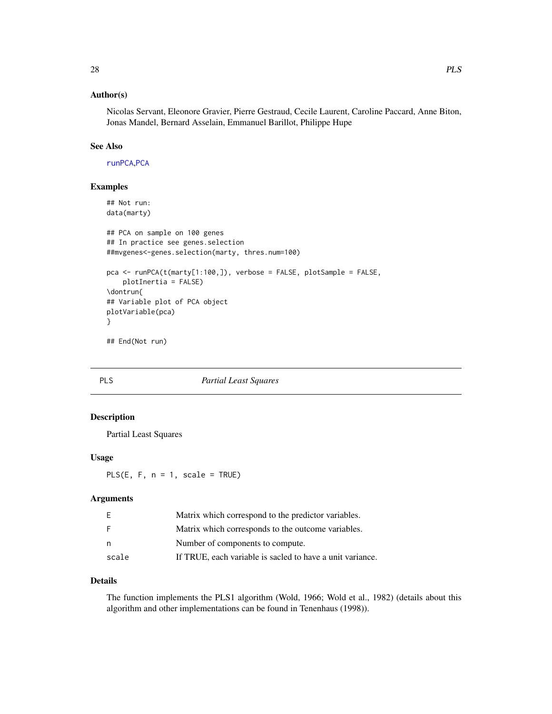# <span id="page-27-0"></span>Author(s)

Nicolas Servant, Eleonore Gravier, Pierre Gestraud, Cecile Laurent, Caroline Paccard, Anne Biton, Jonas Mandel, Bernard Asselain, Emmanuel Barillot, Philippe Hupe

# See Also

[runPCA](#page-37-1),[PCA](#page-0-0)

# Examples

```
## Not run:
data(marty)
## PCA on sample on 100 genes
## In practice see genes.selection
##mvgenes<-genes.selection(marty, thres.num=100)
pca <- runPCA(t(marty[1:100,]), verbose = FALSE, plotSample = FALSE,
   plotInertia = FALSE)
\dontrun{
## Variable plot of PCA object
plotVariable(pca)
}
## End(Not run)
```
# PLS *Partial Least Squares*

# Description

Partial Least Squares

#### Usage

PLS $(E, F, n = 1, scale = TRUE)$ 

# Arguments

| E     | Matrix which correspond to the predictor variables.       |
|-------|-----------------------------------------------------------|
| -F    | Matrix which corresponds to the outcome variables.        |
| n     | Number of components to compute.                          |
| scale | If TRUE, each variable is sacled to have a unit variance. |

# Details

The function implements the PLS1 algorithm (Wold, 1966; Wold et al., 1982) (details about this algorithm and other implementations can be found in Tenenhaus (1998)).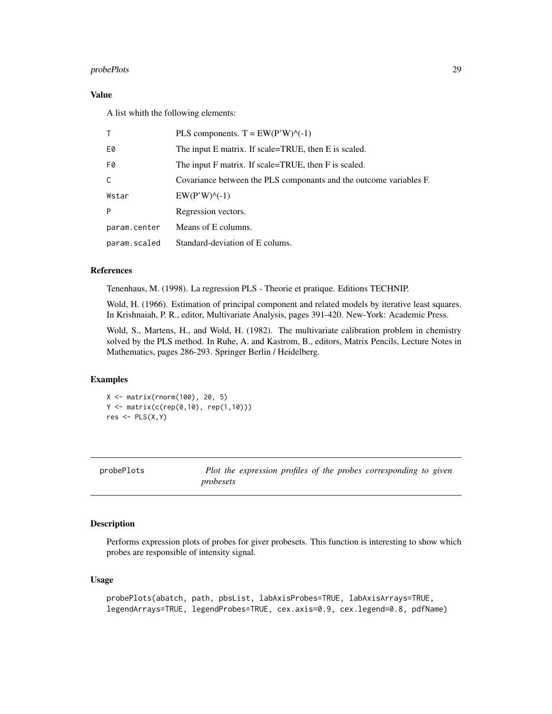# <span id="page-28-0"></span>probePlots 29

# Value

A list whith the following elements:

| T.           | PLS components. $T = EW(P'W)^{\wedge}(-1)$                         |
|--------------|--------------------------------------------------------------------|
| E0           | The input E matrix. If scale=TRUE, then E is scaled.               |
| F0           | The input F matrix. If scale=TRUE, then F is scaled.               |
| $\mathsf{C}$ | Covariance between the PLS componants and the outcome variables F. |
| Wstar        | $EW(P'W)^{\wedge}(-1)$                                             |
| P            | Regression vectors.                                                |
| param.center | Means of E columns.                                                |
| param.scaled | Standard-deviation of E colums.                                    |

#### References

Tenenhaus, M. (1998). La regression PLS - Theorie et pratique. Editions TECHNIP.

Wold, H. (1966). Estimation of principal component and related models by iterative least squares. In Krishnaiah, P. R., editor, Multivariate Analysis, pages 391-420. New-York: Academic Press.

Wold, S., Martens, H., and Wold, H. (1982). The multivariate calibration problem in chemistry solved by the PLS method. In Ruhe, A. and Kastrom, B., editors, Matrix Pencils, Lecture Notes in Mathematics, pages 286-293. Springer Berlin / Heidelberg.

#### Examples

X <- matrix(rnorm(100), 20, 5) Y <- matrix(c(rep(0,10), rep(1,10)))  $res$  <-  $PLS(X, Y)$ 

| probePlots | Plot the expression profiles of the probes corresponding to given |  |  |
|------------|-------------------------------------------------------------------|--|--|
|            | probesets                                                         |  |  |

#### Description

Performs expression plots of probes for giver probesets. This function is interesting to show which probes are responsible of intensity signal.

# Usage

```
probePlots(abatch, path, pbsList, labAxisProbes=TRUE, labAxisArrays=TRUE,
legendArrays=TRUE, legendProbes=TRUE, cex.axis=0.9, cex.legend=0.8, pdfName)
```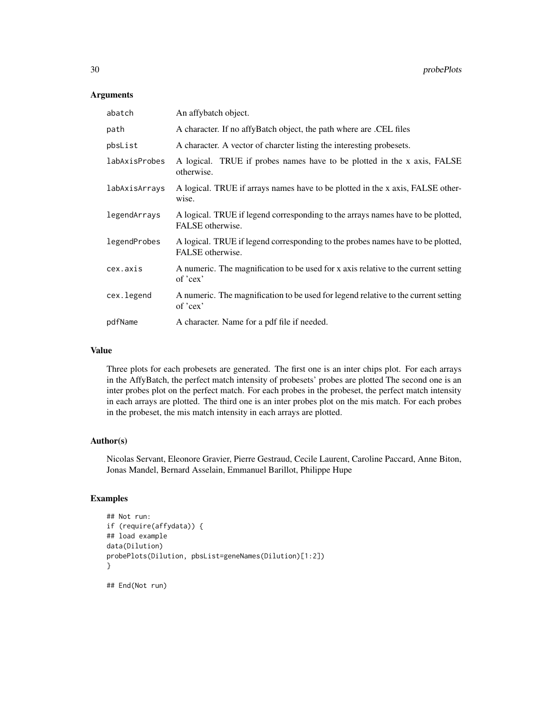# Arguments

| abatch        | An affybatch object.                                                                                |
|---------------|-----------------------------------------------------------------------------------------------------|
| path          | A character. If no affyBatch object, the path where are .CEL files                                  |
| pbsList       | A character. A vector of character listing the interesting probesets.                               |
| labAxisProbes | A logical. TRUE if probes names have to be plotted in the x axis, FALSE<br>otherwise.               |
| labAxisArrays | A logical. TRUE if arrays names have to be plotted in the x axis, FALSE other-<br>wise.             |
| legendArrays  | A logical. TRUE if legend corresponding to the arrays names have to be plotted,<br>FALSE otherwise. |
| legendProbes  | A logical. TRUE if legend corresponding to the probes names have to be plotted,<br>FALSE otherwise. |
| cex.axis      | A numeric. The magnification to be used for x axis relative to the current setting<br>of 'cex'      |
| cex.legend    | A numeric. The magnification to be used for legend relative to the current setting<br>of 'cex'      |
| pdfName       | A character. Name for a pdf file if needed.                                                         |

#### Value

Three plots for each probesets are generated. The first one is an inter chips plot. For each arrays in the AffyBatch, the perfect match intensity of probesets' probes are plotted The second one is an inter probes plot on the perfect match. For each probes in the probeset, the perfect match intensity in each arrays are plotted. The third one is an inter probes plot on the mis match. For each probes in the probeset, the mis match intensity in each arrays are plotted.

# Author(s)

Nicolas Servant, Eleonore Gravier, Pierre Gestraud, Cecile Laurent, Caroline Paccard, Anne Biton, Jonas Mandel, Bernard Asselain, Emmanuel Barillot, Philippe Hupe

# Examples

```
## Not run:
if (require(affydata)) {
## load example
data(Dilution)
probePlots(Dilution, pbsList=geneNames(Dilution)[1:2])
}
```
## End(Not run)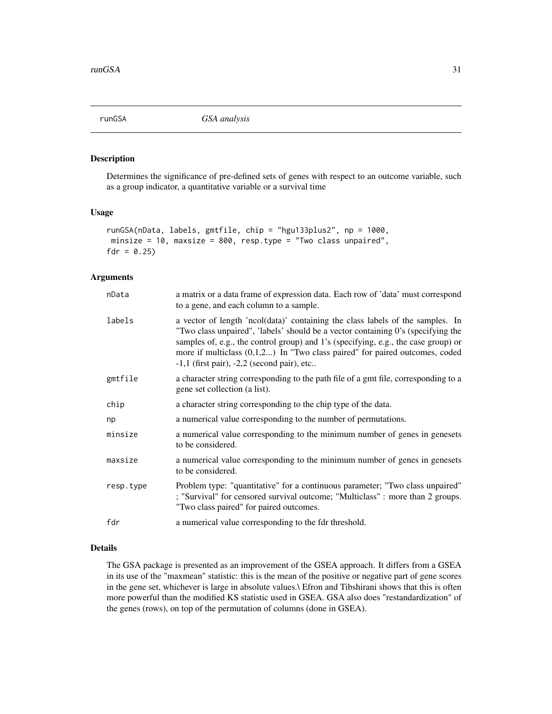<span id="page-30-0"></span>

# Description

Determines the significance of pre-defined sets of genes with respect to an outcome variable, such as a group indicator, a quantitative variable or a survival time

# Usage

```
runGSA(nData, labels, gmtfile, chip = "hgu133plus2", np = 1000,
minsize = 10, maxsize = 800, resp.type = "Two class unpaired",
fdr = 0.25
```
# Arguments

| nData     | a matrix or a data frame of expression data. Each row of 'data' must correspond<br>to a gene, and each column to a sample.                                                                                                                                                                                                                                                                  |
|-----------|---------------------------------------------------------------------------------------------------------------------------------------------------------------------------------------------------------------------------------------------------------------------------------------------------------------------------------------------------------------------------------------------|
| labels    | a vector of length 'ncol(data)' containing the class labels of the samples. In<br>"Two class unpaired", 'labels' should be a vector containing 0's (specifying the<br>samples of, e.g., the control group) and 1's (specifying, e.g., the case group) or<br>more if multiclass $(0,1,2)$ In "Two class paired" for paired outcomes, coded<br>$-1,1$ (first pair), $-2,2$ (second pair), etc |
| gmtfile   | a character string corresponding to the path file of a gmt file, corresponding to a<br>gene set collection (a list).                                                                                                                                                                                                                                                                        |
| chip      | a character string corresponding to the chip type of the data.                                                                                                                                                                                                                                                                                                                              |
| np        | a numerical value corresponding to the number of permutations.                                                                                                                                                                                                                                                                                                                              |
| minsize   | a numerical value corresponding to the minimum number of genes in genesets<br>to be considered.                                                                                                                                                                                                                                                                                             |
| maxsize   | a numerical value corresponding to the minimum number of genes in genesets<br>to be considered.                                                                                                                                                                                                                                                                                             |
| resp.type | Problem type: "quantitative" for a continuous parameter; "Two class unpaired"<br>; "Survival" for censored survival outcome; "Multiclass" : more than 2 groups.<br>"Two class paired" for paired outcomes.                                                                                                                                                                                  |
| fdr       | a numerical value corresponding to the fdr threshold.                                                                                                                                                                                                                                                                                                                                       |
|           |                                                                                                                                                                                                                                                                                                                                                                                             |

# Details

The GSA package is presented as an improvement of the GSEA approach. It differs from a GSEA in its use of the "maxmean" statistic: this is the mean of the positive or negative part of gene scores in the gene set, whichever is large in absolute values.\ Efron and Tibshirani shows that this is often more powerful than the modified KS statistic used in GSEA. GSA also does "restandardization" of the genes (rows), on top of the permutation of columns (done in GSEA).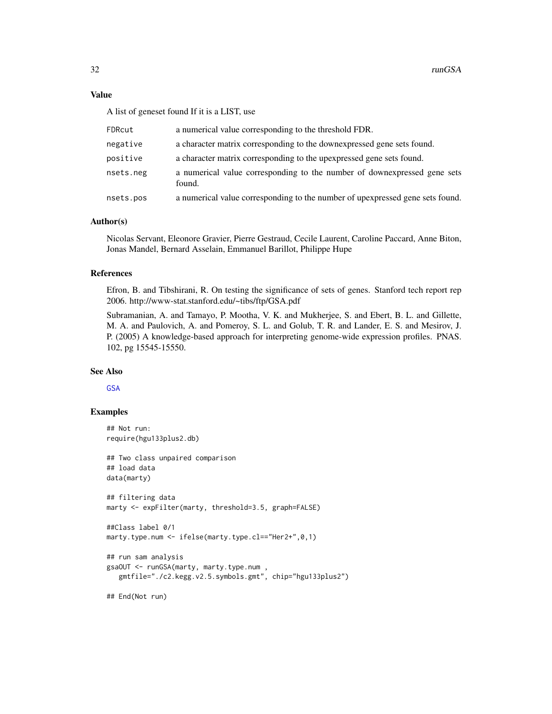#### <span id="page-31-0"></span>Value

A list of geneset found If it is a LIST, use

| FDRcut    | a numerical value corresponding to the threshold FDR.                              |
|-----------|------------------------------------------------------------------------------------|
| negative  | a character matrix corresponding to the downexpressed gene sets found.             |
| positive  | a character matrix corresponding to the upexpressed gene sets found.               |
| nsets.neg | a numerical value corresponding to the number of downexpressed gene sets<br>found. |
| nsets.pos | a numerical value corresponding to the number of upexpressed gene sets found.      |

#### Author(s)

Nicolas Servant, Eleonore Gravier, Pierre Gestraud, Cecile Laurent, Caroline Paccard, Anne Biton, Jonas Mandel, Bernard Asselain, Emmanuel Barillot, Philippe Hupe

# References

Efron, B. and Tibshirani, R. On testing the significance of sets of genes. Stanford tech report rep 2006. http://www-stat.stanford.edu/~tibs/ftp/GSA.pdf

Subramanian, A. and Tamayo, P. Mootha, V. K. and Mukherjee, S. and Ebert, B. L. and Gillette, M. A. and Paulovich, A. and Pomeroy, S. L. and Golub, T. R. and Lander, E. S. and Mesirov, J. P. (2005) A knowledge-based approach for interpreting genome-wide expression profiles. PNAS. 102, pg 15545-15550.

# See Also

[GSA](#page-0-0)

# Examples

```
## Not run:
require(hgu133plus2.db)
## Two class unpaired comparison
## load data
data(marty)
## filtering data
marty <- expFilter(marty, threshold=3.5, graph=FALSE)
##Class label 0/1
marty.type.num <- ifelse(marty.type.cl=="Her2+",0,1)
## run sam analysis
gsaOUT <- runGSA(marty, marty.type.num ,
   gmtfile="./c2.kegg.v2.5.symbols.gmt", chip="hgu133plus2")
```
## End(Not run)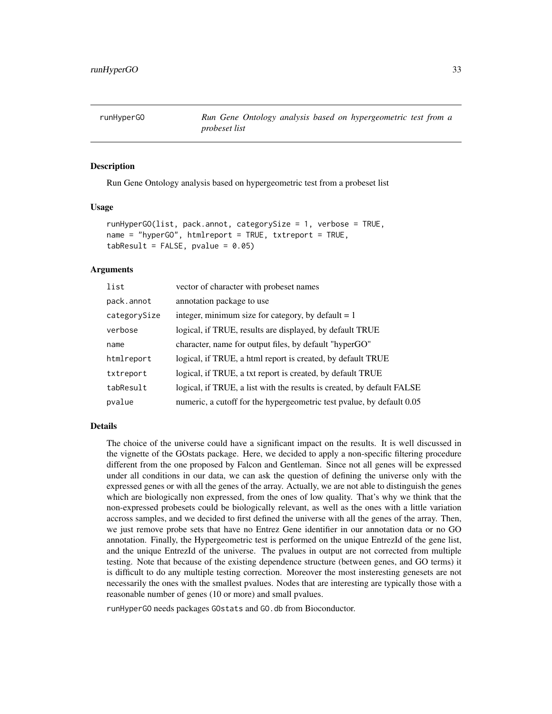<span id="page-32-1"></span><span id="page-32-0"></span>runHyperGO *Run Gene Ontology analysis based on hypergeometric test from a probeset list*

#### **Description**

Run Gene Ontology analysis based on hypergeometric test from a probeset list

#### Usage

```
runHyperGO(list, pack.annot, categorySize = 1, verbose = TRUE,
name = "hyperGO", htmlreport = TRUE, txtreport = TRUE,
tabResult = FALSE, pvalue = 0.05)
```
#### Arguments

| list         | vector of character with probeset names                                |
|--------------|------------------------------------------------------------------------|
| pack.annot   | annotation package to use                                              |
| categorySize | integer, minimum size for category, by default $= 1$                   |
| verbose      | logical, if TRUE, results are displayed, by default TRUE               |
| name         | character, name for output files, by default "hyperGO"                 |
| htmlreport   | logical, if TRUE, a html report is created, by default TRUE            |
| txtreport    | logical, if TRUE, a txt report is created, by default TRUE             |
| tabResult    | logical, if TRUE, a list with the results is created, by default FALSE |
| pvalue       | numeric, a cutoff for the hypergeometric test pvalue, by default 0.05  |

### Details

The choice of the universe could have a significant impact on the results. It is well discussed in the vignette of the GOstats package. Here, we decided to apply a non-specific filtering procedure different from the one proposed by Falcon and Gentleman. Since not all genes will be expressed under all conditions in our data, we can ask the question of defining the universe only with the expressed genes or with all the genes of the array. Actually, we are not able to distinguish the genes which are biologically non expressed, from the ones of low quality. That's why we think that the non-expressed probesets could be biologically relevant, as well as the ones with a little variation accross samples, and we decided to first defined the universe with all the genes of the array. Then, we just remove probe sets that have no Entrez Gene identifier in our annotation data or no GO annotation. Finally, the Hypergeometric test is performed on the unique EntrezId of the gene list, and the unique EntrezId of the universe. The pvalues in output are not corrected from multiple testing. Note that because of the existing dependence structure (between genes, and GO terms) it is difficult to do any multiple testing correction. Moreover the most insteresting genesets are not necessarily the ones with the smallest pvalues. Nodes that are interesting are typically those with a reasonable number of genes (10 or more) and small pvalues.

runHyperGO needs packages GOstats and GO.db from Bioconductor.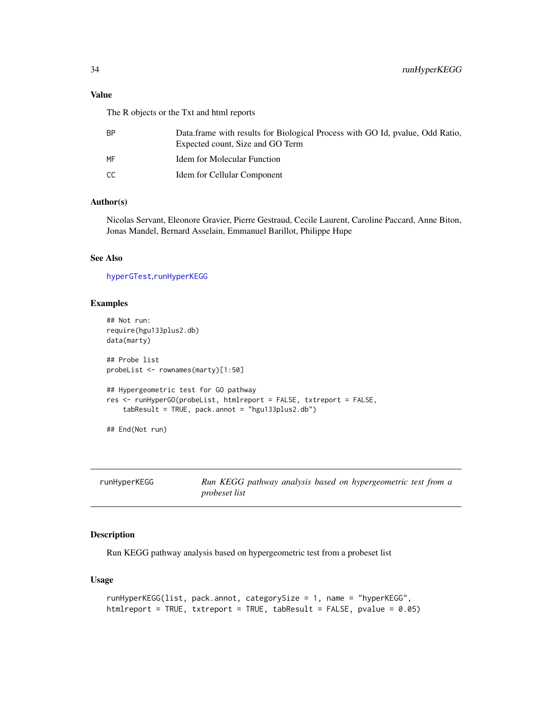#### <span id="page-33-0"></span>Value

The R objects or the Txt and html reports

| Data frame with results for Biological Process with GO Id, pyalue, Odd Ratio,<br>Expected count, Size and GO Term |
|-------------------------------------------------------------------------------------------------------------------|
| Idem for Molecular Function                                                                                       |
| Idem for Cellular Component                                                                                       |
|                                                                                                                   |

# Author(s)

Nicolas Servant, Eleonore Gravier, Pierre Gestraud, Cecile Laurent, Caroline Paccard, Anne Biton, Jonas Mandel, Bernard Asselain, Emmanuel Barillot, Philippe Hupe

# See Also

[hyperGTest](#page-0-0),[runHyperKEGG](#page-33-1)

# Examples

```
## Not run:
require(hgu133plus2.db)
data(marty)
## Probe list
probeList <- rownames(marty)[1:50]
## Hypergeometric test for GO pathway
res <- runHyperGO(probeList, htmlreport = FALSE, txtreport = FALSE,
    tabResult = TRUE, pack.annot = "hgu133plus2.db")
## End(Not run)
```
<span id="page-33-1"></span>

| runHyperKEGG |  |
|--------------|--|
|--------------|--|

Run KEGG pathway analysis based on hypergeometric test from a *probeset list*

# Description

Run KEGG pathway analysis based on hypergeometric test from a probeset list

# Usage

```
runHyperKEGG(list, pack.annot, categorySize = 1, name = "hyperKEGG",
htmlreport = TRUE, txtreport = TRUE, tabResult = FALSE, pvalue = 0.05)
```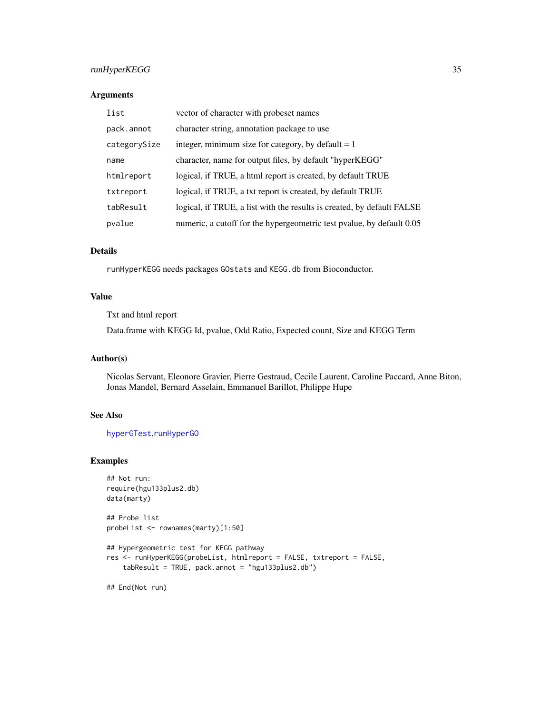# <span id="page-34-0"></span>runHyperKEGG 35

### Arguments

| list         | vector of character with probeset names                                |
|--------------|------------------------------------------------------------------------|
| pack.annot   | character string, annotation package to use                            |
| categorySize | integer, minimum size for category, by default $= 1$                   |
| name         | character, name for output files, by default "hyperKEGG"               |
| htmlreport   | logical, if TRUE, a html report is created, by default TRUE            |
| txtreport    | logical, if TRUE, a txt report is created, by default TRUE             |
| tabResult    | logical, if TRUE, a list with the results is created, by default FALSE |
| pvalue       | numeric, a cutoff for the hypergeometric test pvalue, by default 0.05  |

# Details

runHyperKEGG needs packages GOstats and KEGG.db from Bioconductor.

# Value

Txt and html report

Data.frame with KEGG Id, pvalue, Odd Ratio, Expected count, Size and KEGG Term

# Author(s)

Nicolas Servant, Eleonore Gravier, Pierre Gestraud, Cecile Laurent, Caroline Paccard, Anne Biton, Jonas Mandel, Bernard Asselain, Emmanuel Barillot, Philippe Hupe

# See Also

[hyperGTest](#page-0-0),[runHyperGO](#page-32-1)

# Examples

```
## Not run:
require(hgu133plus2.db)
data(marty)
## Probe list
probeList <- rownames(marty)[1:50]
## Hypergeometric test for KEGG pathway
res <- runHyperKEGG(probeList, htmlreport = FALSE, txtreport = FALSE,
    tabResult = TRUE, pack.annot = "hgu133plus2.db")
```
## End(Not run)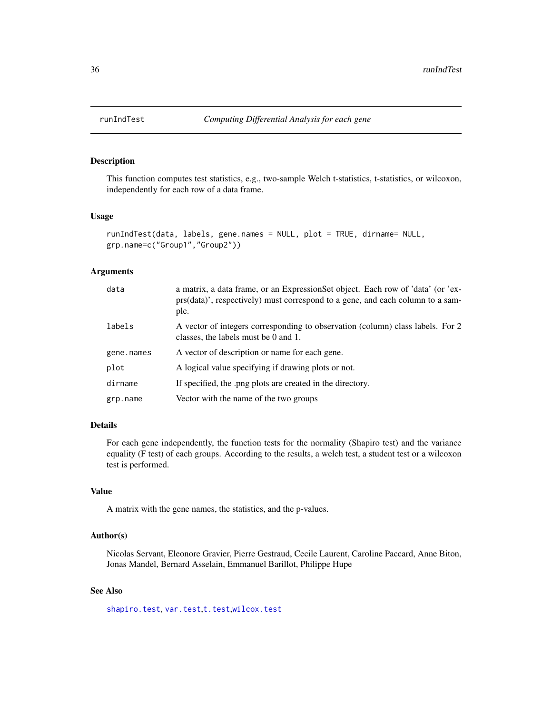<span id="page-35-0"></span>

# Description

This function computes test statistics, e.g., two-sample Welch t-statistics, t-statistics, or wilcoxon, independently for each row of a data frame.

#### Usage

```
runIndTest(data, labels, gene.names = NULL, plot = TRUE, dirname= NULL,
grp.name=c("Group1","Group2"))
```
#### Arguments

| data       | a matrix, a data frame, or an Expression Set object. Each row of 'data' (or 'ex-<br>prs(data)', respectively) must correspond to a gene, and each column to a sam-<br>ple. |
|------------|----------------------------------------------------------------------------------------------------------------------------------------------------------------------------|
| labels     | A vector of integers corresponding to observation (column) class labels. For 2<br>classes, the labels must be 0 and 1.                                                     |
| gene.names | A vector of description or name for each gene.                                                                                                                             |
| plot       | A logical value specifying if drawing plots or not.                                                                                                                        |
| dirname    | If specified, the .png plots are created in the directory.                                                                                                                 |
| grp.name   | Vector with the name of the two groups                                                                                                                                     |

# Details

For each gene independently, the function tests for the normality (Shapiro test) and the variance equality (F test) of each groups. According to the results, a welch test, a student test or a wilcoxon test is performed.

# Value

A matrix with the gene names, the statistics, and the p-values.

# Author(s)

Nicolas Servant, Eleonore Gravier, Pierre Gestraud, Cecile Laurent, Caroline Paccard, Anne Biton, Jonas Mandel, Bernard Asselain, Emmanuel Barillot, Philippe Hupe

# See Also

[shapiro.test](#page-0-0), [var.test](#page-0-0),[t.test](#page-0-0),[wilcox.test](#page-0-0)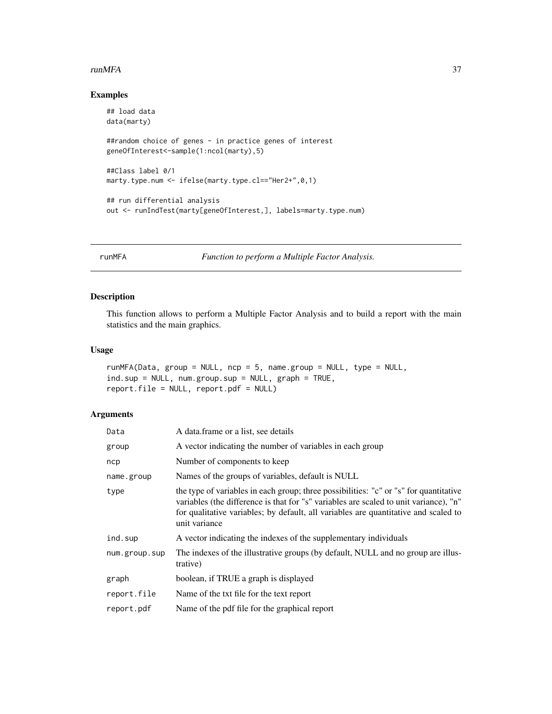#### <span id="page-36-0"></span>runMFA 37

# Examples

```
## load data
data(marty)
##random choice of genes - in practice genes of interest
geneOfInterest<-sample(1:ncol(marty),5)
##Class label 0/1
marty.type.num <- ifelse(marty.type.cl=="Her2+",0,1)
## run differential analysis
out <- runIndTest(marty[geneOfInterest,], labels=marty.type.num)
```
runMFA *Function to perform a Multiple Factor Analysis.*

# Description

This function allows to perform a Multiple Factor Analysis and to build a report with the main statistics and the main graphics.

#### Usage

```
runMFA(Data, group = NULL, ncp = 5, name.group = NULL, type = NULL,
ind.sup = NULL, num.group.sup = NULL, graph = TRUE,report.file = NULL, report.pdf = NULL)
```
#### Arguments

| Data          | A data frame or a list, see details                                                                                                                                                                                                                                                    |
|---------------|----------------------------------------------------------------------------------------------------------------------------------------------------------------------------------------------------------------------------------------------------------------------------------------|
| group         | A vector indicating the number of variables in each group                                                                                                                                                                                                                              |
| ncp           | Number of components to keep                                                                                                                                                                                                                                                           |
| name.group    | Names of the groups of variables, default is NULL                                                                                                                                                                                                                                      |
| type          | the type of variables in each group; three possibilities: "c" or "s" for quantitative<br>variables (the difference is that for "s" variables are scaled to unit variance), "n"<br>for qualitative variables; by default, all variables are quantitative and scaled to<br>unit variance |
| ind.sup       | A vector indicating the indexes of the supplementary individuals                                                                                                                                                                                                                       |
| num.group.sup | The indexes of the illustrative groups (by default, NULL and no group are illus-<br>trative)                                                                                                                                                                                           |
| graph         | boolean, if TRUE a graph is displayed                                                                                                                                                                                                                                                  |
| report.file   | Name of the txt file for the text report                                                                                                                                                                                                                                               |
| report.pdf    | Name of the pdf file for the graphical report                                                                                                                                                                                                                                          |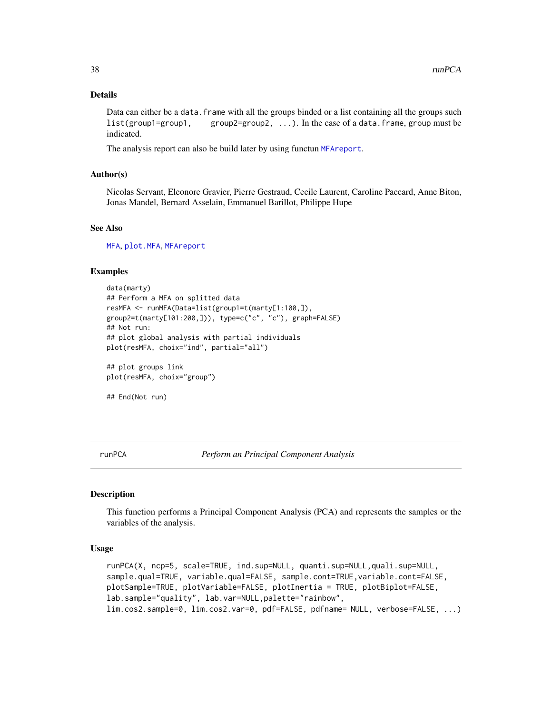#### Details

Data can either be a data. frame with all the groups binded or a list containing all the groups such list(group1=group1, group2=group2, ...). In the case of a data.frame, group must be indicated.

The analysis report can also be build later by using functun [MFAreport](#page-0-0).

#### Author(s)

Nicolas Servant, Eleonore Gravier, Pierre Gestraud, Cecile Laurent, Caroline Paccard, Anne Biton, Jonas Mandel, Bernard Asselain, Emmanuel Barillot, Philippe Hupe

#### See Also

[MFA](#page-0-0), [plot.MFA](#page-0-0), [MFAreport](#page-0-0)

#### Examples

```
data(marty)
## Perform a MFA on splitted data
resMFA <- runMFA(Data=list(group1=t(marty[1:100,]),
group2=t(marty[101:200,])), type=c("c", "c"), graph=FALSE)
## Not run:
## plot global analysis with partial individuals
plot(resMFA, choix="ind", partial="all")
## plot groups link
```
plot(resMFA, choix="group")

```
## End(Not run)
```
<span id="page-37-1"></span>runPCA *Perform an Principal Component Analysis*

#### Description

This function performs a Principal Component Analysis (PCA) and represents the samples or the variables of the analysis.

#### Usage

```
runPCA(X, ncp=5, scale=TRUE, ind.sup=NULL, quanti.sup=NULL,quali.sup=NULL,
sample.qual=TRUE, variable.qual=FALSE, sample.cont=TRUE,variable.cont=FALSE,
plotSample=TRUE, plotVariable=FALSE, plotInertia = TRUE, plotBiplot=FALSE,
lab.sample="quality", lab.var=NULL,palette="rainbow",
lim.cos2.sample=0, lim.cos2.var=0, pdf=FALSE, pdfname= NULL, verbose=FALSE, ...)
```
<span id="page-37-0"></span>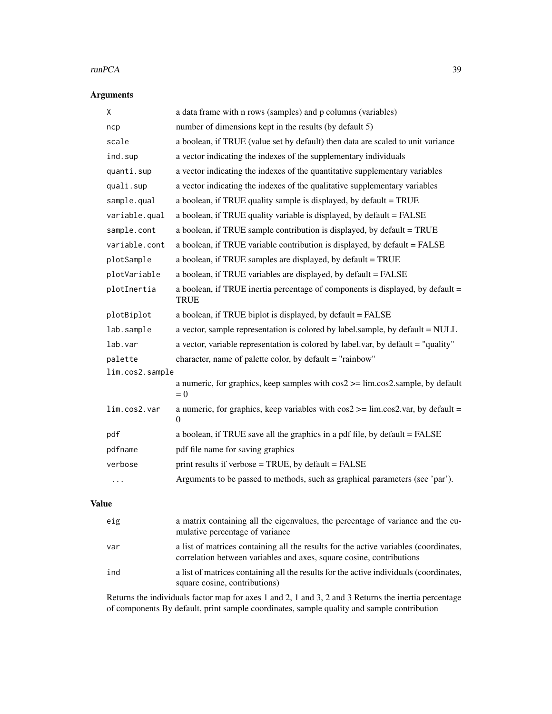#### runPCA 39

# Arguments

| Χ               | a data frame with n rows (samples) and p columns (variables)                                                              |  |
|-----------------|---------------------------------------------------------------------------------------------------------------------------|--|
| ncp             | number of dimensions kept in the results (by default 5)                                                                   |  |
| scale           | a boolean, if TRUE (value set by default) then data are scaled to unit variance                                           |  |
| ind.sup         | a vector indicating the indexes of the supplementary individuals                                                          |  |
| quanti.sup      | a vector indicating the indexes of the quantitative supplementary variables                                               |  |
| quali.sup       | a vector indicating the indexes of the qualitative supplementary variables                                                |  |
| sample.qual     | a boolean, if TRUE quality sample is displayed, by default = TRUE                                                         |  |
| variable.qual   | a boolean, if TRUE quality variable is displayed, by default = FALSE                                                      |  |
| sample.cont     | a boolean, if TRUE sample contribution is displayed, by default = TRUE                                                    |  |
| variable.cont   | a boolean, if TRUE variable contribution is displayed, by default = FALSE                                                 |  |
| plotSample      | a boolean, if TRUE samples are displayed, by default = TRUE                                                               |  |
| plotVariable    | a boolean, if TRUE variables are displayed, by default = FALSE                                                            |  |
| plotInertia     | a boolean, if TRUE inertia percentage of components is displayed, by default =<br><b>TRUE</b>                             |  |
| plotBiplot      | a boolean, if TRUE biplot is displayed, by default = FALSE                                                                |  |
| lab.sample      | a vector, sample representation is colored by label.sample, by default = NULL                                             |  |
| lab.var         | a vector, variable representation is colored by label.var, by default = "quality"                                         |  |
| palette         | character, name of palette color, by default = "rainbow"                                                                  |  |
| lim.cos2.sample |                                                                                                                           |  |
|                 | a numeric, for graphics, keep samples with $cos2 \ge -\lim_{x \to \infty} cos2$ . sample, by default<br>$= 0$             |  |
| lim.cos2.var    | a numeric, for graphics, keep variables with $cos2 \ge -\lim_{x \to \infty} cos2 \cdot$ var, by default =<br>$\mathbf{0}$ |  |
| pdf             | a boolean, if TRUE save all the graphics in a pdf file, by default = FALSE                                                |  |
| pdfname         | pdf file name for saving graphics                                                                                         |  |
| verbose         | print results if verbose = TRUE, by default = FALSE                                                                       |  |
| .               | Arguments to be passed to methods, such as graphical parameters (see 'par').                                              |  |

# Value

| eig | a matrix containing all the eigenvalues, the percentage of variance and the cu-<br>mulative percentage of variance                                           |
|-----|--------------------------------------------------------------------------------------------------------------------------------------------------------------|
| var | a list of matrices containing all the results for the active variables (coordinates,<br>correlation between variables and axes, square cosine, contributions |
| ind | a list of matrices containing all the results for the active individuals (coordinates,<br>square cosine, contributions)                                      |

Returns the individuals factor map for axes 1 and 2, 1 and 3, 2 and 3 Returns the inertia percentage of components By default, print sample coordinates, sample quality and sample contribution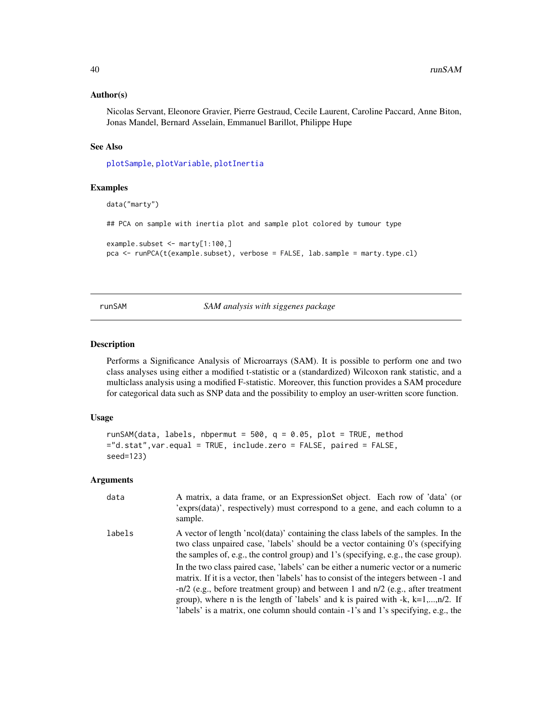#### <span id="page-39-0"></span>Author(s)

Nicolas Servant, Eleonore Gravier, Pierre Gestraud, Cecile Laurent, Caroline Paccard, Anne Biton, Jonas Mandel, Bernard Asselain, Emmanuel Barillot, Philippe Hupe

#### See Also

[plotSample](#page-25-1), [plotVariable](#page-26-1), [plotInertia](#page-24-1)

#### Examples

```
data("marty")
## PCA on sample with inertia plot and sample plot colored by tumour type
example.subset <- marty[1:100,]
pca <- runPCA(t(example.subset), verbose = FALSE, lab.sample = marty.type.cl)
```
#### runSAM *SAM analysis with siggenes package*

#### Description

Performs a Significance Analysis of Microarrays (SAM). It is possible to perform one and two class analyses using either a modified t-statistic or a (standardized) Wilcoxon rank statistic, and a multiclass analysis using a modified F-statistic. Moreover, this function provides a SAM procedure for categorical data such as SNP data and the possibility to employ an user-written score function.

#### Usage

```
runSAM(data, labels, nbpermut = 500, q = 0.05, plot = TRUE, method
="d.stat",var.equal = TRUE, include.zero = FALSE, paired = FALSE,
seed=123)
```
#### Arguments

| data   | A matrix, a data frame, or an ExpressionSet object. Each row of 'data' (or<br>'exprs(data)', respectively) must correspond to a gene, and each column to a<br>sample.                                                                                                                                                                                                                                                                               |
|--------|-----------------------------------------------------------------------------------------------------------------------------------------------------------------------------------------------------------------------------------------------------------------------------------------------------------------------------------------------------------------------------------------------------------------------------------------------------|
| labels | A vector of length 'ncol(data)' containing the class labels of the samples. In the<br>two class unpaired case, 'labels' should be a vector containing 0's (specifying<br>the samples of, e.g., the control group) and 1's (specifying, e.g., the case group).                                                                                                                                                                                       |
|        | In the two class paired case, 'labels' can be either a numeric vector or a numeric<br>matrix. If it is a vector, then 'labels' has to consist of the integers between -1 and<br>$-n/2$ (e.g., before treatment group) and between 1 and $n/2$ (e.g., after treatment<br>group), where n is the length of 'labels' and k is paired with $-k$ , $k=1,,n/2$ . If<br>'labels' is a matrix, one column should contain -1's and 1's specifying, e.g., the |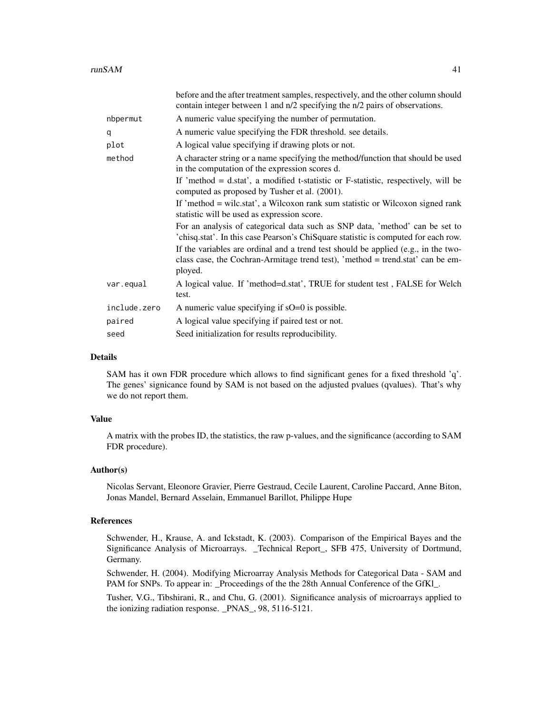|              | before and the after treatment samples, respectively, and the other column should<br>contain integer between 1 and n/2 specifying the n/2 pairs of observations.                |
|--------------|---------------------------------------------------------------------------------------------------------------------------------------------------------------------------------|
| nbpermut     | A numeric value specifying the number of permutation.                                                                                                                           |
| q            | A numeric value specifying the FDR threshold. see details.                                                                                                                      |
| plot         | A logical value specifying if drawing plots or not.                                                                                                                             |
| method       | A character string or a name specifying the method/function that should be used<br>in the computation of the expression scores d.                                               |
|              | If 'method = $d$ .stat', a modified t-statistic or F-statistic, respectively, will be<br>computed as proposed by Tusher et al. (2001).                                          |
|              | If 'method = wilc.stat', a Wilcoxon rank sum statistic or Wilcoxon signed rank<br>statistic will be used as expression score.                                                   |
|              | For an analysis of categorical data such as SNP data, 'method' can be set to<br>'chisq.stat'. In this case Pearson's ChiSquare statistic is computed for each row.              |
|              | If the variables are ordinal and a trend test should be applied (e.g., in the two-<br>class case, the Cochran-Armitage trend test), 'method = trend.stat' can be em-<br>ployed. |
| var.equal    | A logical value. If 'method=d.stat', TRUE for student test, FALSE for Welch<br>test.                                                                                            |
| include.zero | A numeric value specifying if $sO=0$ is possible.                                                                                                                               |
| paired       | A logical value specifying if paired test or not.                                                                                                                               |
| seed         | Seed initialization for results reproducibility.                                                                                                                                |

# Details

SAM has it own FDR procedure which allows to find significant genes for a fixed threshold 'q'. The genes' signicance found by SAM is not based on the adjusted pvalues (qvalues). That's why we do not report them.

#### Value

A matrix with the probes ID, the statistics, the raw p-values, and the significance (according to SAM FDR procedure).

#### Author(s)

Nicolas Servant, Eleonore Gravier, Pierre Gestraud, Cecile Laurent, Caroline Paccard, Anne Biton, Jonas Mandel, Bernard Asselain, Emmanuel Barillot, Philippe Hupe

#### References

Schwender, H., Krause, A. and Ickstadt, K. (2003). Comparison of the Empirical Bayes and the Significance Analysis of Microarrays. \_Technical Report\_, SFB 475, University of Dortmund, Germany.

Schwender, H. (2004). Modifying Microarray Analysis Methods for Categorical Data - SAM and PAM for SNPs. To appear in: \_Proceedings of the the 28th Annual Conference of the GfKl\_.

Tusher, V.G., Tibshirani, R., and Chu, G. (2001). Significance analysis of microarrays applied to the ionizing radiation response. \_PNAS\_, 98, 5116-5121.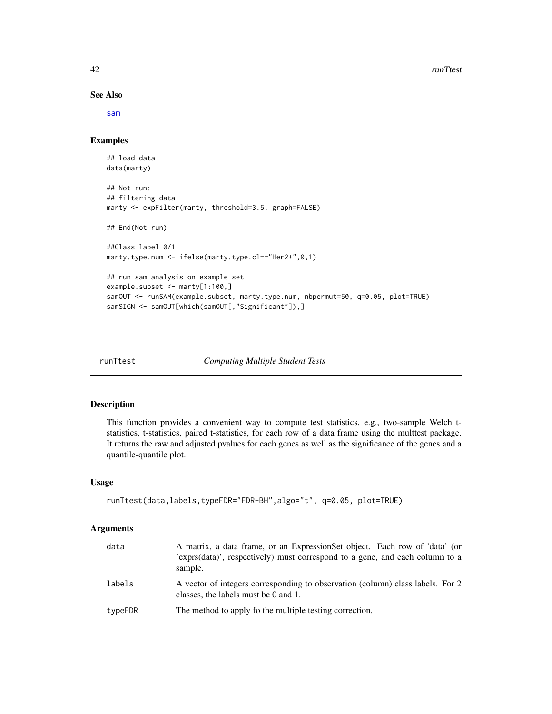#### See Also

[sam](#page-0-0)

#### Examples

```
## load data
data(marty)
## Not run:
## filtering data
marty <- expFilter(marty, threshold=3.5, graph=FALSE)
## End(Not run)
##Class label 0/1
marty.type.num <- ifelse(marty.type.cl=="Her2+",0,1)
## run sam analysis on example set
example.subset <- marty[1:100,]
samOUT <- runSAM(example.subset, marty.type.num, nbpermut=50, q=0.05, plot=TRUE)
samSIGN <- samOUT[which(samOUT[,"Significant"]),]
```
runTtest *Computing Multiple Student Tests*

#### Description

This function provides a convenient way to compute test statistics, e.g., two-sample Welch tstatistics, t-statistics, paired t-statistics, for each row of a data frame using the multtest package. It returns the raw and adjusted pvalues for each genes as well as the significance of the genes and a quantile-quantile plot.

## Usage

```
runTtest(data,labels,typeFDR="FDR-BH",algo="t", q=0.05, plot=TRUE)
```
#### Arguments

| data    | A matrix, a data frame, or an ExpressionSet object. Each row of 'data' (or<br>exprs(data)', respectively) must correspond to a gene, and each column to a<br>sample. |
|---------|----------------------------------------------------------------------------------------------------------------------------------------------------------------------|
| labels  | A vector of integers corresponding to observation (column) class labels. For 2<br>classes, the labels must be $0$ and $1$ .                                          |
| typeFDR | The method to apply fo the multiple testing correction.                                                                                                              |

<span id="page-41-0"></span>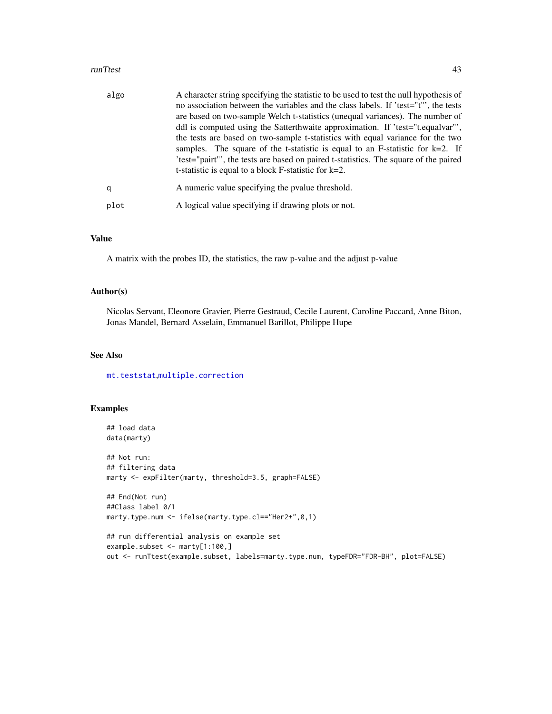#### <span id="page-42-0"></span>runTtest 43

| algo | A character string specifying the statistic to be used to test the null hypothesis of<br>no association between the variables and the class labels. If 'test="t"', the tests<br>are based on two-sample Welch t-statistics (unequal variances). The number of<br>ddl is computed using the Satterthwaite approximation. If 'test="t.equalvar"',<br>the tests are based on two-sample t-statistics with equal variance for the two<br>samples. The square of the t-statistic is equal to an F-statistic for $k=2$ . If<br>'test="pairt"', the tests are based on paired t-statistics. The square of the paired |
|------|---------------------------------------------------------------------------------------------------------------------------------------------------------------------------------------------------------------------------------------------------------------------------------------------------------------------------------------------------------------------------------------------------------------------------------------------------------------------------------------------------------------------------------------------------------------------------------------------------------------|
| q    | t-statistic is equal to a block $F$ -statistic for $k=2$ .<br>A numeric value specifying the pvalue threshold.                                                                                                                                                                                                                                                                                                                                                                                                                                                                                                |
| plot | A logical value specifying if drawing plots or not.                                                                                                                                                                                                                                                                                                                                                                                                                                                                                                                                                           |

#### Value

A matrix with the probes ID, the statistics, the raw p-value and the adjust p-value

# Author(s)

Nicolas Servant, Eleonore Gravier, Pierre Gestraud, Cecile Laurent, Caroline Paccard, Anne Biton, Jonas Mandel, Bernard Asselain, Emmanuel Barillot, Philippe Hupe

# See Also

[mt.teststat](#page-0-0),[multiple.correction](#page-19-1)

# Examples

```
## load data
data(marty)
## Not run:
## filtering data
marty <- expFilter(marty, threshold=3.5, graph=FALSE)
## End(Not run)
##Class label 0/1
marty.type.num <- ifelse(marty.type.cl=="Her2+",0,1)
## run differential analysis on example set
example.subset <- marty[1:100,]
```
out <- runTtest(example.subset, labels=marty.type.num, typeFDR="FDR-BH", plot=FALSE)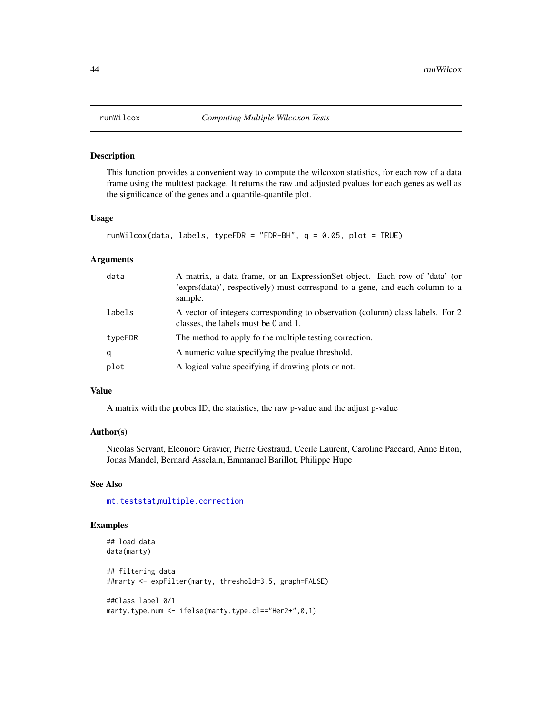<span id="page-43-0"></span>

#### Description

This function provides a convenient way to compute the wilcoxon statistics, for each row of a data frame using the multtest package. It returns the raw and adjusted pvalues for each genes as well as the significance of the genes and a quantile-quantile plot.

#### Usage

```
runWilcox(data, labels, typeFDR = "FDR-BH", q = 0.05, plot = TRUE)
```
#### Arguments

| data    | A matrix, a data frame, or an ExpressionSet object. Each row of 'data' (or<br>'exprs(data)', respectively) must correspond to a gene, and each column to a<br>sample. |
|---------|-----------------------------------------------------------------------------------------------------------------------------------------------------------------------|
| labels  | A vector of integers corresponding to observation (column) class labels. For 2<br>classes, the labels must be $0$ and $1$ .                                           |
| typeFDR | The method to apply fo the multiple testing correction.                                                                                                               |
| q       | A numeric value specifying the pvalue threshold.                                                                                                                      |
| plot    | A logical value specifying if drawing plots or not.                                                                                                                   |

# Value

A matrix with the probes ID, the statistics, the raw p-value and the adjust p-value

# Author(s)

Nicolas Servant, Eleonore Gravier, Pierre Gestraud, Cecile Laurent, Caroline Paccard, Anne Biton, Jonas Mandel, Bernard Asselain, Emmanuel Barillot, Philippe Hupe

# See Also

[mt.teststat](#page-0-0),[multiple.correction](#page-19-1)

# Examples

```
## load data
data(marty)
## filtering data
##marty <- expFilter(marty, threshold=3.5, graph=FALSE)
##Class label 0/1
marty.type.num <- ifelse(marty.type.cl=="Her2+",0,1)
```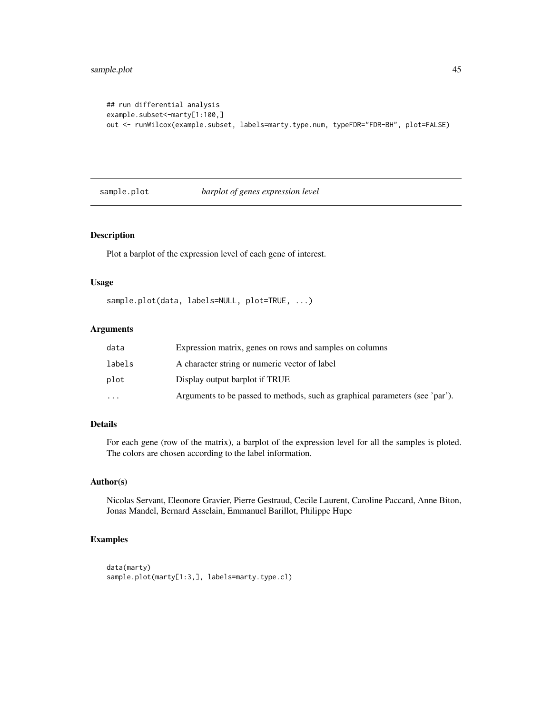```
## run differential analysis
example.subset <- marty[1:100,]
out <- runWilcox(example.subset, labels=marty.type.num, typeFDR="FDR-BH", plot=FALSE)
```
sample.plot *barplot of genes expression level*

#### Description

Plot a barplot of the expression level of each gene of interest.

# Usage

sample.plot(data, labels=NULL, plot=TRUE, ...)

# Arguments

| data      | Expression matrix, genes on rows and samples on columns                      |
|-----------|------------------------------------------------------------------------------|
| labels    | A character string or numeric vector of label                                |
| plot      | Display output barplot if TRUE                                               |
| $\ddotsc$ | Arguments to be passed to methods, such as graphical parameters (see 'par'). |

# Details

For each gene (row of the matrix), a barplot of the expression level for all the samples is ploted. The colors are chosen according to the label information.

# Author(s)

Nicolas Servant, Eleonore Gravier, Pierre Gestraud, Cecile Laurent, Caroline Paccard, Anne Biton, Jonas Mandel, Bernard Asselain, Emmanuel Barillot, Philippe Hupe

# Examples

```
data(marty)
sample.plot(marty[1:3,], labels=marty.type.cl)
```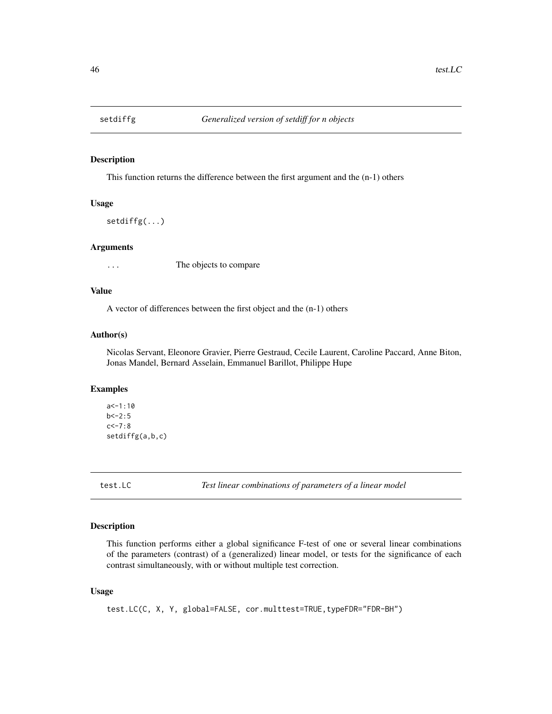<span id="page-45-0"></span>

# Description

This function returns the difference between the first argument and the (n-1) others

# Usage

setdiffg(...)

#### Arguments

... The objects to compare

# Value

A vector of differences between the first object and the (n-1) others

#### Author(s)

Nicolas Servant, Eleonore Gravier, Pierre Gestraud, Cecile Laurent, Caroline Paccard, Anne Biton, Jonas Mandel, Bernard Asselain, Emmanuel Barillot, Philippe Hupe

#### Examples

```
a < -1:10b < -2:5c < -7:8setdiffg(a,b,c)
```
test.LC *Test linear combinations of parameters of a linear model*

#### Description

This function performs either a global significance F-test of one or several linear combinations of the parameters (contrast) of a (generalized) linear model, or tests for the significance of each contrast simultaneously, with or without multiple test correction.

# Usage

```
test.LC(C, X, Y, global=FALSE, cor.multtest=TRUE,typeFDR="FDR-BH")
```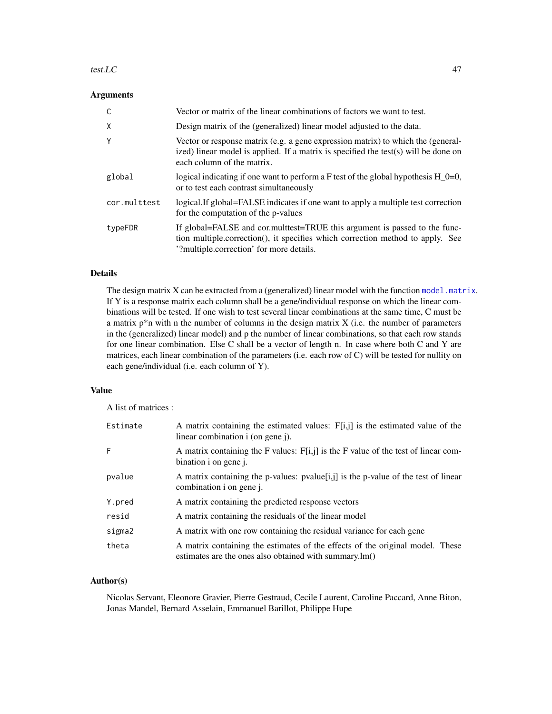#### <span id="page-46-0"></span>test. LC  $\qquad \qquad \text{47}$

# Arguments

|              | Vector or matrix of the linear combinations of factors we want to test.                                                                                                                                  |
|--------------|----------------------------------------------------------------------------------------------------------------------------------------------------------------------------------------------------------|
| X            | Design matrix of the (generalized) linear model adjusted to the data.                                                                                                                                    |
| Y            | Vector or response matrix (e.g. a gene expression matrix) to which the (general-<br>ized) linear model is applied. If a matrix is specified the test(s) will be done on<br>each column of the matrix.    |
| global       | logical indicating if one want to perform a F test of the global hypothesis $H_0=0$ ,<br>or to test each contrast simultaneously                                                                         |
| cor.multtest | logical. If global=FALSE indicates if one want to apply a multiple test correction<br>for the computation of the p-values                                                                                |
| typeFDR      | If global=FALSE and cor.multtest=TRUE this argument is passed to the func-<br>tion multiple.correction(), it specifies which correction method to apply. See<br>'?multiple.correction' for more details. |

# Details

The design matrix  $X$  can be extracted from a (generalized) linear model with the function [model.matrix](#page-0-0). If Y is a response matrix each column shall be a gene/individual response on which the linear combinations will be tested. If one wish to test several linear combinations at the same time, C must be a matrix  $p^*n$  with n the number of columns in the design matrix  $X$  (i.e. the number of parameters in the (generalized) linear model) and p the number of linear combinations, so that each row stands for one linear combination. Else C shall be a vector of length n. In case where both C and Y are matrices, each linear combination of the parameters (i.e. each row of C) will be tested for nullity on each gene/individual (i.e. each column of Y).

#### Value

A list of matrices :

| Estimate | A matrix containing the estimated values: F[i,j] is the estimated value of the<br>linear combination i (on gene j).                     |
|----------|-----------------------------------------------------------------------------------------------------------------------------------------|
| F        | A matrix containing the F values: $F[i,j]$ is the F value of the test of linear com-<br>bination i on gene j.                           |
| pvalue   | A matrix containing the p-values: $pvalue[i,j]$ is the p-value of the test of linear<br>combination i on gene <i>i</i> .                |
| Y.pred   | A matrix containing the predicted response vectors                                                                                      |
| resid    | A matrix containing the residuals of the linear model                                                                                   |
| sigma2   | A matrix with one row containing the residual variance for each gene                                                                    |
| theta    | A matrix containing the estimates of the effects of the original model. These<br>estimates are the ones also obtained with summary.lm() |

# Author(s)

Nicolas Servant, Eleonore Gravier, Pierre Gestraud, Cecile Laurent, Caroline Paccard, Anne Biton, Jonas Mandel, Bernard Asselain, Emmanuel Barillot, Philippe Hupe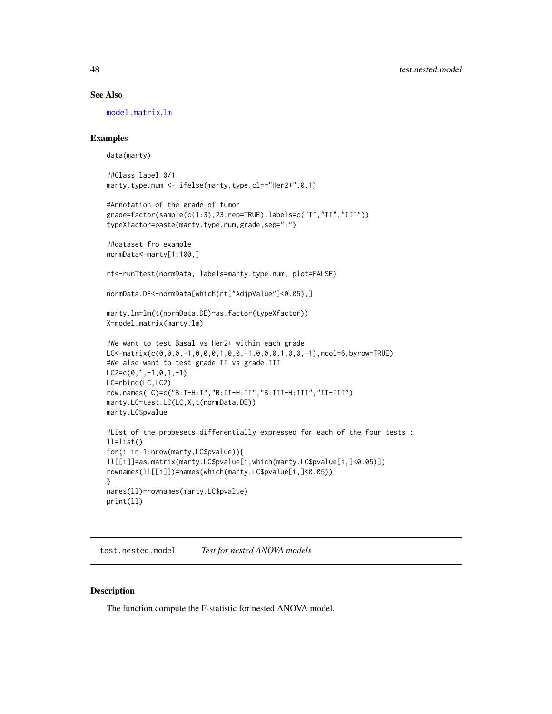#### See Also

[model.matrix](#page-0-0),[lm](#page-0-0)

# Examples

data(marty)

```
##Class label 0/1
marty.type.num <- ifelse(marty.type.cl=="Her2+",0,1)
```

```
#Annotation of the grade of tumor
grade=factor(sample(c(1:3),23,rep=TRUE),labels=c("I","II","III"))
typeXfactor=paste(marty.type.num,grade,sep=":")
```

```
##dataset fro example
normData<-marty[1:100,]
```
rt<-runTtest(normData, labels=marty.type.num, plot=FALSE)

```
normData.DE<-normData[which(rt["AdjpValue"]<0.05),]
```

```
marty.lm=lm(t(normData.DE)~as.factor(typeXfactor))
X=model.matrix(marty.lm)
```

```
#We want to test Basal vs Her2+ within each grade
LC<-matrix(c(0,0,0,-1,0,0,0,1,0,0,-1,0,0,0,1,0,0,-1),ncol=6,byrow=TRUE)
#We also want to test grade II vs grade III
LC2=c(0,1,-1,0,1,-1)LC=rbind(LC,LC2)
row.names(LC)=c("B:I-H:I","B:II-H:II","B:III-H:III","II-III")
marty.LC=test.LC(LC,X,t(normData.DE))
marty.LC$pvalue
#List of the probesets differentially expressed for each of the four tests :
ll=list()
for(i in 1:nrow(marty.LC$pvalue)){
ll[[i]]=as.matrix(marty.LC$pvalue[i,which(marty.LC$pvalue[i,]<0.05)])
```

```
rownames(ll[[i]])=names(which(marty.LC$pvalue[i,]<0.05))
names(ll)=rownames(marty.LC$pvalue)
```

```
test.nested.model Test for nested ANOVA models
```
# Description

}

print(ll)

The function compute the F-statistic for nested ANOVA model.

<span id="page-47-0"></span>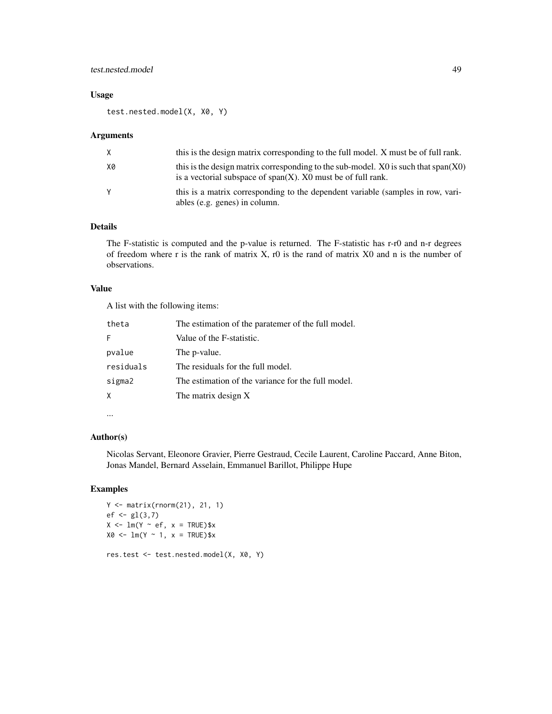### test.nested.model 49

# Usage

test.nested.model(X, X0, Y)

#### Arguments

| X. | this is the design matrix corresponding to the full model. X must be of full rank.                                                                           |
|----|--------------------------------------------------------------------------------------------------------------------------------------------------------------|
| X0 | this is the design matrix corresponding to the sub-model. $X_0$ is such that span $(X_0)$<br>is a vectorial subspace of $span(X)$ . X0 must be of full rank. |
| Υ  | this is a matrix corresponding to the dependent variable (samples in row, vari-<br>ables (e.g. genes) in column.                                             |

#### Details

The F-statistic is computed and the p-value is returned. The F-statistic has r-r0 and n-r degrees of freedom where r is the rank of matrix  $X$ , r0 is the rand of matrix  $X0$  and n is the number of observations.

#### Value

A list with the following items:

| The estimation of the paratemer of the full model. |
|----------------------------------------------------|
| Value of the F-statistic.                          |
| The p-value.                                       |
| The residuals for the full model.                  |
| The estimation of the variance for the full model. |
| The matrix design X                                |
|                                                    |

# ...

# Author(s)

Nicolas Servant, Eleonore Gravier, Pierre Gestraud, Cecile Laurent, Caroline Paccard, Anne Biton, Jonas Mandel, Bernard Asselain, Emmanuel Barillot, Philippe Hupe

# Examples

```
Y <- matrix(rnorm(21), 21, 1)
ef < -g1(3,7)X \leftarrow \text{lm}(Y \sim \text{ef}, x = \text{TRUE})$x
X0 \leq -\ln(Y \sim 1, x = \text{TRUE})$x
res.test <- test.nested.model(X, X0, Y)
```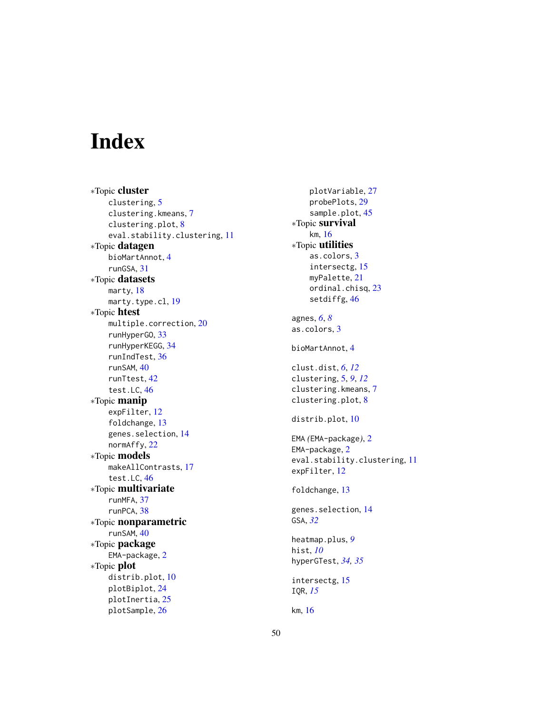# <span id="page-49-0"></span>Index

∗Topic cluster clustering, [5](#page-4-0) clustering.kmeans, [7](#page-6-0) clustering.plot, [8](#page-7-0) eval.stability.clustering, [11](#page-10-0) ∗Topic datagen bioMartAnnot, [4](#page-3-0) runGSA, [31](#page-30-0) ∗Topic datasets marty, [18](#page-17-0) marty.type.cl, [19](#page-18-0) ∗Topic htest multiple.correction, [20](#page-19-0) runHyperGO, [33](#page-32-0) runHyperKEGG, [34](#page-33-0) runIndTest, [36](#page-35-0) runSAM, [40](#page-39-0) runTtest, [42](#page-41-0) test.LC, [46](#page-45-0) ∗Topic manip expFilter, [12](#page-11-0) foldchange, [13](#page-12-0) genes.selection, [14](#page-13-0) normAffy, [22](#page-21-0) ∗Topic models makeAllContrasts, [17](#page-16-0) test.LC, [46](#page-45-0) ∗Topic multivariate runMFA, [37](#page-36-0) runPCA, [38](#page-37-0) ∗Topic nonparametric runSAM, [40](#page-39-0) ∗Topic package EMA-package, [2](#page-1-0) ∗Topic plot distrib.plot, [10](#page-9-0) plotBiplot, [24](#page-23-0) plotInertia, [25](#page-24-0) plotSample, [26](#page-25-0)

plotVariable, [27](#page-26-0) probePlots, [29](#page-28-0) sample.plot, [45](#page-44-0) ∗Topic survival km, [16](#page-15-0) ∗Topic utilities as.colors, [3](#page-2-0) intersectg, [15](#page-14-0) myPalette, [21](#page-20-0) ordinal.chisq, [23](#page-22-0) setdiffg, [46](#page-45-0) agnes, *[6](#page-5-0)*, *[8](#page-7-0)* as.colors, [3](#page-2-0) bioMartAnnot, [4](#page-3-0) clust.dist, *[6](#page-5-0)*, *[12](#page-11-0)* clustering, [5,](#page-4-0) *[9](#page-8-0)*, *[12](#page-11-0)* clustering.kmeans, [7](#page-6-0) clustering.plot, [8](#page-7-0) distrib.plot, [10](#page-9-0) EMA *(*EMA-package*)*, [2](#page-1-0) EMA-package, [2](#page-1-0) eval.stability.clustering, [11](#page-10-0) expFilter, [12](#page-11-0) foldchange, [13](#page-12-0) genes.selection, [14](#page-13-0) GSA, *[32](#page-31-0)* heatmap.plus, *[9](#page-8-0)* hist, *[10](#page-9-0)* hyperGTest, *[34,](#page-33-0) [35](#page-34-0)* intersectg, [15](#page-14-0) IQR, *[15](#page-14-0)* km, [16](#page-15-0)